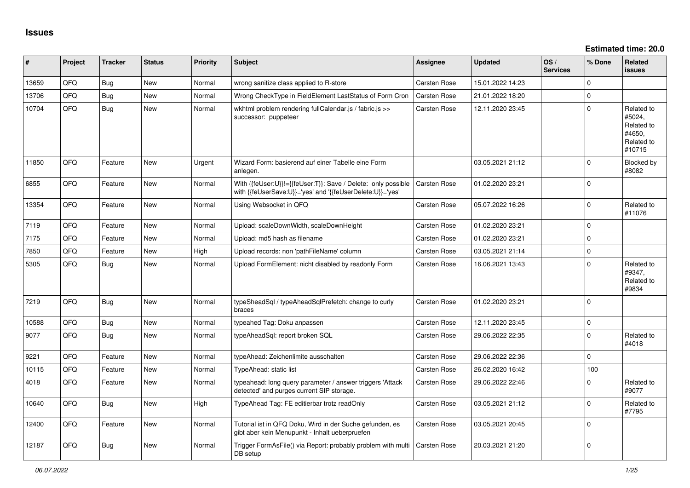**Estimated time: 20.0**

| #     | Project | <b>Tracker</b> | <b>Status</b> | <b>Priority</b> | <b>Subject</b>                                                                                                             | <b>Assignee</b>     | <b>Updated</b>   | OS/<br><b>Services</b> | % Done         | Related<br><b>issues</b>                                             |
|-------|---------|----------------|---------------|-----------------|----------------------------------------------------------------------------------------------------------------------------|---------------------|------------------|------------------------|----------------|----------------------------------------------------------------------|
| 13659 | QFQ     | Bug            | <b>New</b>    | Normal          | wrong sanitize class applied to R-store                                                                                    | <b>Carsten Rose</b> | 15.01.2022 14:23 |                        | $\mathbf 0$    |                                                                      |
| 13706 | QFQ     | <b>Bug</b>     | <b>New</b>    | Normal          | Wrong CheckType in FieldElement LastStatus of Form Cron                                                                    | <b>Carsten Rose</b> | 21.01.2022 18:20 |                        | $\mathbf 0$    |                                                                      |
| 10704 | QFQ     | <b>Bug</b>     | New           | Normal          | wkhtml problem rendering fullCalendar.js / fabric.js >><br>successor: puppeteer                                            | Carsten Rose        | 12.11.2020 23:45 |                        | $\Omega$       | Related to<br>#5024,<br>Related to<br>#4650,<br>Related to<br>#10715 |
| 11850 | QFQ     | Feature        | <b>New</b>    | Urgent          | Wizard Form: basierend auf einer Tabelle eine Form<br>anlegen.                                                             |                     | 03.05.2021 21:12 |                        | $\mathbf 0$    | Blocked by<br>#8082                                                  |
| 6855  | QFQ     | Feature        | <b>New</b>    | Normal          | With {{feUser:U}}!={{feUser:T}}: Save / Delete: only possible<br>with {{feUserSave:U}}='yes' and '{{feUserDelete:U}}='yes' | Carsten Rose        | 01.02.2020 23:21 |                        | $\mathbf 0$    |                                                                      |
| 13354 | QFQ     | Feature        | <b>New</b>    | Normal          | Using Websocket in QFQ                                                                                                     | <b>Carsten Rose</b> | 05.07.2022 16:26 |                        | $\mathbf 0$    | Related to<br>#11076                                                 |
| 7119  | QFQ     | Feature        | <b>New</b>    | Normal          | Upload: scaleDownWidth, scaleDownHeight                                                                                    | Carsten Rose        | 01.02.2020 23:21 |                        | $\overline{0}$ |                                                                      |
| 7175  | QFQ     | Feature        | <b>New</b>    | Normal          | Upload: md5 hash as filename                                                                                               | <b>Carsten Rose</b> | 01.02.2020 23:21 |                        | $\mathbf 0$    |                                                                      |
| 7850  | QFQ     | Feature        | <b>New</b>    | High            | Upload records: non 'pathFileName' column                                                                                  | <b>Carsten Rose</b> | 03.05.2021 21:14 |                        | $\pmb{0}$      |                                                                      |
| 5305  | QFQ     | Bug            | New           | Normal          | Upload FormElement: nicht disabled by readonly Form                                                                        | Carsten Rose        | 16.06.2021 13:43 |                        | $\Omega$       | Related to<br>#9347,<br>Related to<br>#9834                          |
| 7219  | QFQ     | Bug            | <b>New</b>    | Normal          | typeSheadSql / typeAheadSqlPrefetch: change to curly<br>braces                                                             | <b>Carsten Rose</b> | 01.02.2020 23:21 |                        | $\overline{0}$ |                                                                      |
| 10588 | QFQ     | <b>Bug</b>     | <b>New</b>    | Normal          | typeahed Tag: Doku anpassen                                                                                                | <b>Carsten Rose</b> | 12.11.2020 23:45 |                        | $\mathbf 0$    |                                                                      |
| 9077  | QFQ     | <b>Bug</b>     | New           | Normal          | typeAheadSql: report broken SQL                                                                                            | <b>Carsten Rose</b> | 29.06.2022 22:35 |                        | $\mathbf 0$    | Related to<br>#4018                                                  |
| 9221  | QFQ     | Feature        | <b>New</b>    | Normal          | typeAhead: Zeichenlimite ausschalten                                                                                       | <b>Carsten Rose</b> | 29.06.2022 22:36 |                        | $\Omega$       |                                                                      |
| 10115 | QFQ     | Feature        | <b>New</b>    | Normal          | TypeAhead: static list                                                                                                     | <b>Carsten Rose</b> | 26.02.2020 16:42 |                        | 100            |                                                                      |
| 4018  | QFQ     | Feature        | <b>New</b>    | Normal          | typeahead: long query parameter / answer triggers 'Attack<br>detected' and purges current SIP storage.                     | <b>Carsten Rose</b> | 29.06.2022 22:46 |                        | $\Omega$       | Related to<br>#9077                                                  |
| 10640 | QFQ     | Bug            | <b>New</b>    | High            | TypeAhead Tag: FE editierbar trotz readOnly                                                                                | Carsten Rose        | 03.05.2021 21:12 |                        | $\Omega$       | Related to<br>#7795                                                  |
| 12400 | QFQ     | Feature        | <b>New</b>    | Normal          | Tutorial ist in QFQ Doku, Wird in der Suche gefunden, es<br>gibt aber kein Menupunkt - Inhalt ueberpruefen                 | <b>Carsten Rose</b> | 03.05.2021 20:45 |                        | $\mathbf 0$    |                                                                      |
| 12187 | QFQ     | Bug            | <b>New</b>    | Normal          | Trigger FormAsFile() via Report: probably problem with multi<br>DB setup                                                   | <b>Carsten Rose</b> | 20.03.2021 21:20 |                        | $\mathbf 0$    |                                                                      |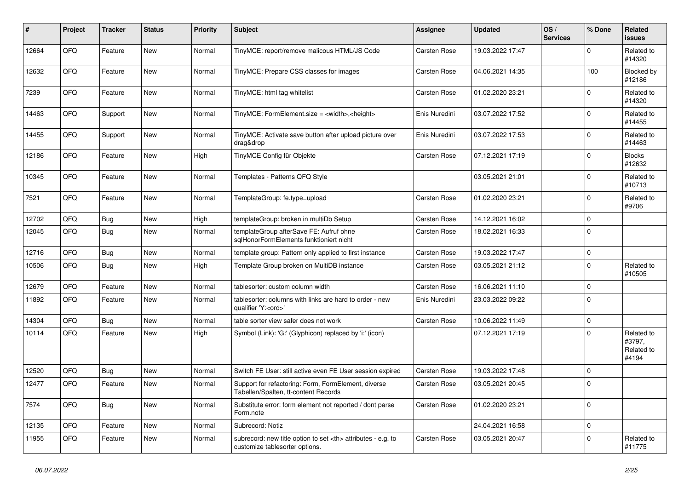| #     | Project | <b>Tracker</b> | <b>Status</b> | <b>Priority</b> | <b>Subject</b>                                                                                       | <b>Assignee</b>                                        | <b>Updated</b>   | OS/<br><b>Services</b> | % Done      | Related<br><b>issues</b>                    |                      |
|-------|---------|----------------|---------------|-----------------|------------------------------------------------------------------------------------------------------|--------------------------------------------------------|------------------|------------------------|-------------|---------------------------------------------|----------------------|
| 12664 | QFQ     | Feature        | <b>New</b>    | Normal          | TinyMCE: report/remove malicous HTML/JS Code                                                         | <b>Carsten Rose</b>                                    | 19.03.2022 17:47 |                        | $\mathbf 0$ | Related to<br>#14320                        |                      |
| 12632 | QFQ     | Feature        | <b>New</b>    | Normal          | TinyMCE: Prepare CSS classes for images                                                              | <b>Carsten Rose</b>                                    | 04.06.2021 14:35 |                        | 100         | Blocked by<br>#12186                        |                      |
| 7239  | QFQ     | Feature        | <b>New</b>    | Normal          | TinyMCE: html tag whitelist                                                                          | <b>Carsten Rose</b>                                    | 01.02.2020 23:21 |                        | 0           | Related to<br>#14320                        |                      |
| 14463 | QFQ     | Support        | <b>New</b>    | Normal          | TinyMCE: FormElement.size = <width>,<height></height></width>                                        | Enis Nuredini                                          | 03.07.2022 17:52 |                        | 0           | Related to<br>#14455                        |                      |
| 14455 | QFQ     | Support        | <b>New</b>    | Normal          | TinyMCE: Activate save button after upload picture over<br>drag&drop                                 | Enis Nuredini                                          | 03.07.2022 17:53 |                        | $\mathbf 0$ | Related to<br>#14463                        |                      |
| 12186 | QFQ     | Feature        | <b>New</b>    | High            | TinyMCE Config für Objekte                                                                           | <b>Carsten Rose</b>                                    | 07.12.2021 17:19 |                        | 0           | <b>Blocks</b><br>#12632                     |                      |
| 10345 | QFQ     | Feature        | <b>New</b>    | Normal          | Templates - Patterns QFQ Style                                                                       |                                                        | 03.05.2021 21:01 |                        | $\mathbf 0$ | Related to<br>#10713                        |                      |
| 7521  | QFQ     | Feature        | <b>New</b>    | Normal          | TemplateGroup: fe.type=upload                                                                        | Carsten Rose                                           | 01.02.2020 23:21 |                        | 0           | Related to<br>#9706                         |                      |
| 12702 | QFQ     | Bug            | <b>New</b>    | High            | templateGroup: broken in multiDb Setup                                                               | <b>Carsten Rose</b>                                    | 14.12.2021 16:02 |                        | $\Omega$    |                                             |                      |
| 12045 | QFQ     | Bug            | <b>New</b>    | Normal          | templateGroup afterSave FE: Aufruf ohne<br>sqlHonorFormElements funktioniert nicht                   | Carsten Rose                                           | 18.02.2021 16:33 |                        | $\Omega$    |                                             |                      |
| 12716 | QFQ     | Bug            | New           | Normal          | template group: Pattern only applied to first instance                                               | <b>Carsten Rose</b>                                    | 19.03.2022 17:47 |                        | 0           |                                             |                      |
| 10506 | QFQ     | Bug            | New           | High            | Template Group broken on MultiDB instance                                                            | Carsten Rose                                           | 03.05.2021 21:12 |                        | 0           | Related to<br>#10505                        |                      |
| 12679 | QFQ     | Feature        | <b>New</b>    | Normal          | tablesorter: custom column width                                                                     | <b>Carsten Rose</b>                                    | 16.06.2021 11:10 |                        | 0           |                                             |                      |
| 11892 | QFQ     | Feature        | <b>New</b>    | Normal          | tablesorter: columns with links are hard to order - new<br>qualifier 'Y: <ord>'</ord>                | Enis Nuredini                                          | 23.03.2022 09:22 |                        | $\Omega$    |                                             |                      |
| 14304 | QFQ     | Bug            | New           | Normal          | table sorter view safer does not work                                                                | <b>Carsten Rose</b>                                    | 10.06.2022 11:49 |                        | 0           |                                             |                      |
| 10114 | QFQ     | Feature        | New           | High            | Symbol (Link): 'G:' (Glyphicon) replaced by 'i:' (icon)                                              |                                                        | 07.12.2021 17:19 |                        | $\mathbf 0$ | Related to<br>#3797,<br>Related to<br>#4194 |                      |
| 12520 | QFQ     | Bug            | <b>New</b>    | Normal          | Switch FE User: still active even FE User session expired                                            | <b>Carsten Rose</b>                                    | 19.03.2022 17:48 |                        | $\mathbf 0$ |                                             |                      |
| 12477 | QFQ     | Feature        | New           | Normal          | Support for refactoring: Form, FormElement, diverse<br>Tabellen/Spalten, tt-content Records          | Carsten Rose                                           | 03.05.2021 20:45 |                        | $\mathbf 0$ |                                             |                      |
| 7574  | QFQ     | Bug            | New           | Normal          | Substitute error: form element not reported / dont parse<br>Form.note                                | Carsten Rose                                           | 01.02.2020 23:21 |                        | 0           |                                             |                      |
| 12135 | QFQ     | Feature        | <b>New</b>    | Normal          | Subrecord: Notiz                                                                                     |                                                        | 24.04.2021 16:58 |                        | 0           |                                             |                      |
| 11955 | QFQ     | Feature        | New           | Normal          | subrecord: new title option to set <th> attributes - e.g. to<br/>customize tablesorter options.</th> | attributes - e.g. to<br>customize tablesorter options. | Carsten Rose     | 03.05.2021 20:47       |             | 0                                           | Related to<br>#11775 |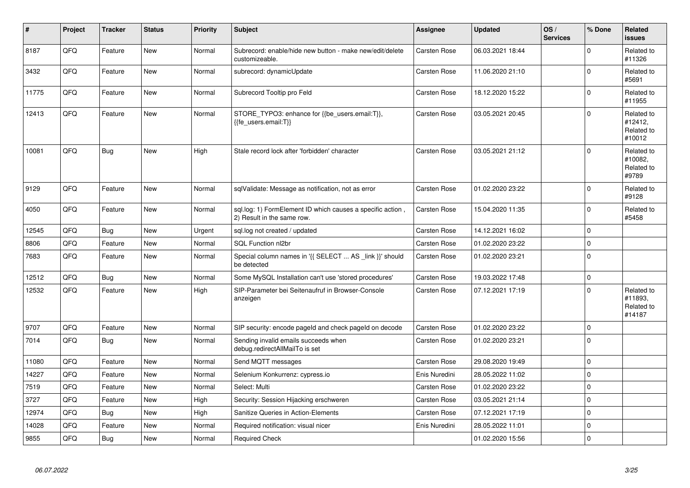| $\vert$ # | Project | <b>Tracker</b> | <b>Status</b> | <b>Priority</b> | <b>Subject</b>                                                                           | <b>Assignee</b>     | <b>Updated</b>   | OS/<br><b>Services</b> | % Done      | Related<br><b>issues</b>                      |
|-----------|---------|----------------|---------------|-----------------|------------------------------------------------------------------------------------------|---------------------|------------------|------------------------|-------------|-----------------------------------------------|
| 8187      | QFQ     | Feature        | <b>New</b>    | Normal          | Subrecord: enable/hide new button - make new/edit/delete<br>customizeable.               | <b>Carsten Rose</b> | 06.03.2021 18:44 |                        | $\Omega$    | Related to<br>#11326                          |
| 3432      | QFQ     | Feature        | <b>New</b>    | Normal          | subrecord: dynamicUpdate                                                                 | <b>Carsten Rose</b> | 11.06.2020 21:10 |                        | $\Omega$    | Related to<br>#5691                           |
| 11775     | QFQ     | Feature        | <b>New</b>    | Normal          | Subrecord Tooltip pro Feld                                                               | <b>Carsten Rose</b> | 18.12.2020 15:22 |                        | $\Omega$    | Related to<br>#11955                          |
| 12413     | QFQ     | Feature        | <b>New</b>    | Normal          | STORE_TYPO3: enhance for {{be_users.email:T}},<br>{{fe users.email:T}}                   | <b>Carsten Rose</b> | 03.05.2021 20:45 |                        | $\Omega$    | Related to<br>#12412,<br>Related to<br>#10012 |
| 10081     | QFQ     | Bug            | <b>New</b>    | High            | Stale record lock after 'forbidden' character                                            | <b>Carsten Rose</b> | 03.05.2021 21:12 |                        | $\Omega$    | Related to<br>#10082,<br>Related to<br>#9789  |
| 9129      | QFQ     | Feature        | New           | Normal          | sqlValidate: Message as notification, not as error                                       | Carsten Rose        | 01.02.2020 23:22 |                        | $\Omega$    | Related to<br>#9128                           |
| 4050      | QFQ     | Feature        | <b>New</b>    | Normal          | sql.log: 1) FormElement ID which causes a specific action,<br>2) Result in the same row. | Carsten Rose        | 15.04.2020 11:35 |                        | $\mathbf 0$ | Related to<br>#5458                           |
| 12545     | QFQ     | Bug            | <b>New</b>    | Urgent          | sql.log not created / updated                                                            | Carsten Rose        | 14.12.2021 16:02 |                        | $\mathbf 0$ |                                               |
| 8806      | QFQ     | Feature        | New           | Normal          | <b>SQL Function nl2br</b>                                                                | <b>Carsten Rose</b> | 01.02.2020 23:22 |                        | $\mathbf 0$ |                                               |
| 7683      | QFQ     | Feature        | <b>New</b>    | Normal          | Special column names in '{{ SELECT  AS _link }}' should<br>be detected                   | Carsten Rose        | 01.02.2020 23:21 |                        | $\Omega$    |                                               |
| 12512     | QFQ     | Bug            | <b>New</b>    | Normal          | Some MySQL Installation can't use 'stored procedures'                                    | Carsten Rose        | 19.03.2022 17:48 |                        | $\Omega$    |                                               |
| 12532     | QFQ     | Feature        | New           | High            | SIP-Parameter bei Seitenaufruf in Browser-Console<br>anzeigen                            | Carsten Rose        | 07.12.2021 17:19 |                        | $\Omega$    | Related to<br>#11893.<br>Related to<br>#14187 |
| 9707      | QFQ     | Feature        | <b>New</b>    | Normal          | SIP security: encode pageld and check pageld on decode                                   | Carsten Rose        | 01.02.2020 23:22 |                        | $\Omega$    |                                               |
| 7014      | QFQ     | Bug            | New           | Normal          | Sending invalid emails succeeds when<br>debug.redirectAllMailTo is set                   | <b>Carsten Rose</b> | 01.02.2020 23:21 |                        | $\Omega$    |                                               |
| 11080     | QFQ     | Feature        | <b>New</b>    | Normal          | Send MQTT messages                                                                       | <b>Carsten Rose</b> | 29.08.2020 19:49 |                        | $\mathbf 0$ |                                               |
| 14227     | QFQ     | Feature        | New           | Normal          | Selenium Konkurrenz: cypress.io                                                          | Enis Nuredini       | 28.05.2022 11:02 |                        | $\Omega$    |                                               |
| 7519      | QFQ     | Feature        | <b>New</b>    | Normal          | Select: Multi                                                                            | Carsten Rose        | 01.02.2020 23:22 |                        | $\mathbf 0$ |                                               |
| 3727      | QFQ     | Feature        | <b>New</b>    | High            | Security: Session Hijacking erschweren                                                   | <b>Carsten Rose</b> | 03.05.2021 21:14 |                        | $\Omega$    |                                               |
| 12974     | QFQ     | <b>Bug</b>     | <b>New</b>    | High            | <b>Sanitize Queries in Action-Elements</b>                                               | Carsten Rose        | 07.12.2021 17:19 |                        | $\pmb{0}$   |                                               |
| 14028     | QFQ     | Feature        | <b>New</b>    | Normal          | Required notification: visual nicer                                                      | Enis Nuredini       | 28.05.2022 11:01 |                        | $\mathbf 0$ |                                               |
| 9855      | QFQ     | Bug            | New           | Normal          | <b>Required Check</b>                                                                    |                     | 01.02.2020 15:56 |                        | $\mathbf 0$ |                                               |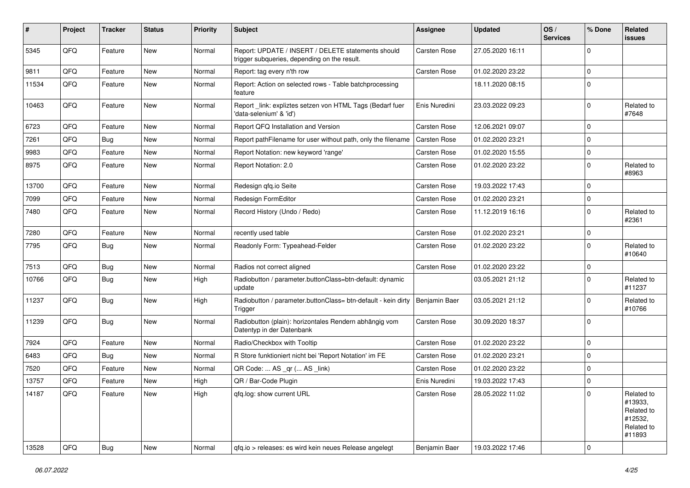| #     | Project | <b>Tracker</b> | <b>Status</b> | <b>Priority</b> | <b>Subject</b>                                                                                     | Assignee            | <b>Updated</b>   | OS/<br><b>Services</b> | % Done      | Related<br>issues                                                      |
|-------|---------|----------------|---------------|-----------------|----------------------------------------------------------------------------------------------------|---------------------|------------------|------------------------|-------------|------------------------------------------------------------------------|
| 5345  | QFQ     | Feature        | <b>New</b>    | Normal          | Report: UPDATE / INSERT / DELETE statements should<br>trigger subqueries, depending on the result. | Carsten Rose        | 27.05.2020 16:11 |                        | $\Omega$    |                                                                        |
| 9811  | QFQ     | Feature        | <b>New</b>    | Normal          | Report: tag every n'th row                                                                         | <b>Carsten Rose</b> | 01.02.2020 23:22 |                        | $\mathbf 0$ |                                                                        |
| 11534 | QFQ     | Feature        | <b>New</b>    | Normal          | Report: Action on selected rows - Table batchprocessing<br>feature                                 |                     | 18.11.2020 08:15 |                        | $\Omega$    |                                                                        |
| 10463 | QFQ     | Feature        | <b>New</b>    | Normal          | Report _link: expliztes setzen von HTML Tags (Bedarf fuer<br>'data-selenium' & 'id')               | Enis Nuredini       | 23.03.2022 09:23 |                        | $\mathbf 0$ | Related to<br>#7648                                                    |
| 6723  | QFQ     | Feature        | <b>New</b>    | Normal          | Report QFQ Installation and Version                                                                | Carsten Rose        | 12.06.2021 09:07 |                        | $\Omega$    |                                                                        |
| 7261  | QFQ     | Bug            | <b>New</b>    | Normal          | Report pathFilename for user without path, only the filename                                       | Carsten Rose        | 01.02.2020 23:21 |                        | $\mathbf 0$ |                                                                        |
| 9983  | QFQ     | Feature        | <b>New</b>    | Normal          | Report Notation: new keyword 'range'                                                               | <b>Carsten Rose</b> | 01.02.2020 15:55 |                        | $\mathbf 0$ |                                                                        |
| 8975  | QFQ     | Feature        | New           | Normal          | Report Notation: 2.0                                                                               | <b>Carsten Rose</b> | 01.02.2020 23:22 |                        | $\Omega$    | Related to<br>#8963                                                    |
| 13700 | QFQ     | Feature        | <b>New</b>    | Normal          | Redesign qfq.io Seite                                                                              | <b>Carsten Rose</b> | 19.03.2022 17:43 |                        | $\mathbf 0$ |                                                                        |
| 7099  | QFQ     | Feature        | <b>New</b>    | Normal          | Redesign FormEditor                                                                                | <b>Carsten Rose</b> | 01.02.2020 23:21 |                        | $\mathbf 0$ |                                                                        |
| 7480  | QFQ     | Feature        | New           | Normal          | Record History (Undo / Redo)                                                                       | Carsten Rose        | 11.12.2019 16:16 |                        | $\mathbf 0$ | Related to<br>#2361                                                    |
| 7280  | QFQ     | Feature        | <b>New</b>    | Normal          | recently used table                                                                                | Carsten Rose        | 01.02.2020 23:21 |                        | $\mathbf 0$ |                                                                        |
| 7795  | QFQ     | Bug            | <b>New</b>    | Normal          | Readonly Form: Typeahead-Felder                                                                    | <b>Carsten Rose</b> | 01.02.2020 23:22 |                        | $\Omega$    | Related to<br>#10640                                                   |
| 7513  | QFQ     | <b>Bug</b>     | <b>New</b>    | Normal          | Radios not correct aligned                                                                         | <b>Carsten Rose</b> | 01.02.2020 23:22 |                        | $\mathbf 0$ |                                                                        |
| 10766 | QFQ     | <b>Bug</b>     | <b>New</b>    | High            | Radiobutton / parameter.buttonClass=btn-default: dynamic<br>update                                 |                     | 03.05.2021 21:12 |                        | $\Omega$    | Related to<br>#11237                                                   |
| 11237 | QFQ     | <b>Bug</b>     | New           | High            | Radiobutton / parameter.buttonClass= btn-default - kein dirty<br>Trigger                           | Benjamin Baer       | 03.05.2021 21:12 |                        | $\Omega$    | Related to<br>#10766                                                   |
| 11239 | QFQ     | Bug            | <b>New</b>    | Normal          | Radiobutton (plain): horizontales Rendern abhängig vom<br>Datentyp in der Datenbank                | <b>Carsten Rose</b> | 30.09.2020 18:37 |                        | $\mathbf 0$ |                                                                        |
| 7924  | QFQ     | Feature        | New           | Normal          | Radio/Checkbox with Tooltip                                                                        | <b>Carsten Rose</b> | 01.02.2020 23:22 |                        | $\mathbf 0$ |                                                                        |
| 6483  | QFQ     | Bug            | <b>New</b>    | Normal          | R Store funktioniert nicht bei 'Report Notation' im FE                                             | <b>Carsten Rose</b> | 01.02.2020 23:21 |                        | $\Omega$    |                                                                        |
| 7520  | QFQ     | Feature        | <b>New</b>    | Normal          | QR Code:  AS _qr ( AS _link)                                                                       | Carsten Rose        | 01.02.2020 23:22 |                        | $\mathbf 0$ |                                                                        |
| 13757 | QFQ     | Feature        | New           | High            | QR / Bar-Code Plugin                                                                               | Enis Nuredini       | 19.03.2022 17:43 |                        | 0           |                                                                        |
| 14187 | QFQ     | Feature        | New           | High            | gfq.log: show current URL                                                                          | Carsten Rose        | 28.05.2022 11:02 |                        | 0           | Related to<br>#13933,<br>Related to<br>#12532,<br>Related to<br>#11893 |
| 13528 | QFQ     | Bug            | New           | Normal          | gfq.io > releases: es wird kein neues Release angelegt                                             | Benjamin Baer       | 19.03.2022 17:46 |                        | $\pmb{0}$   |                                                                        |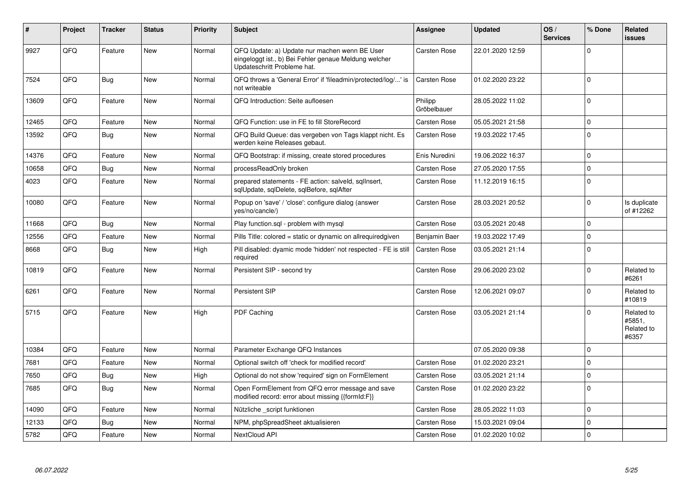| #     | Project | <b>Tracker</b> | <b>Status</b> | <b>Priority</b> | <b>Subject</b>                                                                                                                        | <b>Assignee</b>        | <b>Updated</b>   | OS/<br><b>Services</b> | % Done      | <b>Related</b><br><b>issues</b>             |
|-------|---------|----------------|---------------|-----------------|---------------------------------------------------------------------------------------------------------------------------------------|------------------------|------------------|------------------------|-------------|---------------------------------------------|
| 9927  | QFQ     | Feature        | <b>New</b>    | Normal          | QFQ Update: a) Update nur machen wenn BE User<br>eingeloggt ist., b) Bei Fehler genaue Meldung welcher<br>Updateschritt Probleme hat. | <b>Carsten Rose</b>    | 22.01.2020 12:59 |                        | $\Omega$    |                                             |
| 7524  | QFQ     | Bug            | <b>New</b>    | Normal          | QFQ throws a 'General Error' if 'fileadmin/protected/log/' is<br>not writeable                                                        | <b>Carsten Rose</b>    | 01.02.2020 23:22 |                        | $\mathbf 0$ |                                             |
| 13609 | QFQ     | Feature        | <b>New</b>    | Normal          | QFQ Introduction: Seite aufloesen                                                                                                     | Philipp<br>Gröbelbauer | 28.05.2022 11:02 |                        | $\mathbf 0$ |                                             |
| 12465 | QFQ     | Feature        | <b>New</b>    | Normal          | QFQ Function: use in FE to fill StoreRecord                                                                                           | <b>Carsten Rose</b>    | 05.05.2021 21:58 |                        | $\mathbf 0$ |                                             |
| 13592 | QFQ     | Bug            | <b>New</b>    | Normal          | QFQ Build Queue: das vergeben von Tags klappt nicht. Es<br>werden keine Releases gebaut.                                              | <b>Carsten Rose</b>    | 19.03.2022 17:45 |                        | $\mathbf 0$ |                                             |
| 14376 | QFQ     | Feature        | <b>New</b>    | Normal          | QFQ Bootstrap: if missing, create stored procedures                                                                                   | Enis Nuredini          | 19.06.2022 16:37 |                        | $\pmb{0}$   |                                             |
| 10658 | QFQ     | Bug            | <b>New</b>    | Normal          | processReadOnly broken                                                                                                                | <b>Carsten Rose</b>    | 27.05.2020 17:55 |                        | $\pmb{0}$   |                                             |
| 4023  | QFQ     | Feature        | <b>New</b>    | Normal          | prepared statements - FE action: salveld, sqllnsert,<br>sqlUpdate, sqlDelete, sqlBefore, sqlAfter                                     | <b>Carsten Rose</b>    | 11.12.2019 16:15 |                        | $\mathbf 0$ |                                             |
| 10080 | QFQ     | Feature        | <b>New</b>    | Normal          | Popup on 'save' / 'close': configure dialog (answer<br>yes/no/cancle/)                                                                | <b>Carsten Rose</b>    | 28.03.2021 20:52 |                        | $\Omega$    | Is duplicate<br>of #12262                   |
| 11668 | QFQ     | Bug            | <b>New</b>    | Normal          | Play function.sql - problem with mysql                                                                                                | <b>Carsten Rose</b>    | 03.05.2021 20:48 |                        | $\mathbf 0$ |                                             |
| 12556 | QFQ     | Feature        | <b>New</b>    | Normal          | Pills Title: colored = static or dynamic on allrequiredgiven                                                                          | Benjamin Baer          | 19.03.2022 17:49 |                        | $\mathbf 0$ |                                             |
| 8668  | QFQ     | <b>Bug</b>     | <b>New</b>    | High            | Pill disabled: dyamic mode 'hidden' not respected - FE is still<br>required                                                           | <b>Carsten Rose</b>    | 03.05.2021 21:14 |                        | $\Omega$    |                                             |
| 10819 | QFQ     | Feature        | <b>New</b>    | Normal          | Persistent SIP - second try                                                                                                           | <b>Carsten Rose</b>    | 29.06.2020 23:02 |                        | $\Omega$    | Related to<br>#6261                         |
| 6261  | QFQ     | Feature        | <b>New</b>    | Normal          | Persistent SIP                                                                                                                        | <b>Carsten Rose</b>    | 12.06.2021 09:07 |                        | $\mathbf 0$ | Related to<br>#10819                        |
| 5715  | QFQ     | Feature        | <b>New</b>    | High            | PDF Caching                                                                                                                           | <b>Carsten Rose</b>    | 03.05.2021 21:14 |                        | $\mathbf 0$ | Related to<br>#5851,<br>Related to<br>#6357 |
| 10384 | QFQ     | Feature        | <b>New</b>    | Normal          | Parameter Exchange QFQ Instances                                                                                                      |                        | 07.05.2020 09:38 |                        | $\mathbf 0$ |                                             |
| 7681  | QFQ     | Feature        | <b>New</b>    | Normal          | Optional switch off 'check for modified record'                                                                                       | <b>Carsten Rose</b>    | 01.02.2020 23:21 |                        | $\mathbf 0$ |                                             |
| 7650  | QFQ     | <b>Bug</b>     | <b>New</b>    | High            | Optional do not show 'required' sign on FormElement                                                                                   | <b>Carsten Rose</b>    | 03.05.2021 21:14 |                        | $\mathbf 0$ |                                             |
| 7685  | QFQ     | <b>Bug</b>     | <b>New</b>    | Normal          | Open FormElement from QFQ error message and save<br>modified record: error about missing {{formId:F}}                                 | Carsten Rose           | 01.02.2020 23:22 |                        | $\Omega$    |                                             |
| 14090 | QFQ     | Feature        | <b>New</b>    | Normal          | Nützliche script funktionen                                                                                                           | <b>Carsten Rose</b>    | 28.05.2022 11:03 |                        | $\mathbf 0$ |                                             |
| 12133 | QFQ     | Bug            | <b>New</b>    | Normal          | NPM, phpSpreadSheet aktualisieren                                                                                                     | <b>Carsten Rose</b>    | 15.03.2021 09:04 |                        | $\mathbf 0$ |                                             |
| 5782  | QFQ     | Feature        | <b>New</b>    | Normal          | NextCloud API                                                                                                                         | Carsten Rose           | 01.02.2020 10:02 |                        | $\mathbf 0$ |                                             |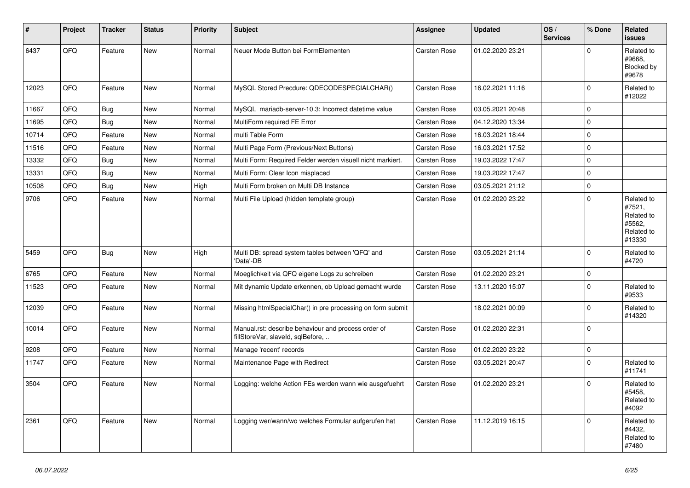| #     | Project | <b>Tracker</b> | <b>Status</b> | <b>Priority</b> | <b>Subject</b>                                                                           | <b>Assignee</b>     | <b>Updated</b>   | OS/<br><b>Services</b> | % Done   | Related<br><b>issues</b>                                             |
|-------|---------|----------------|---------------|-----------------|------------------------------------------------------------------------------------------|---------------------|------------------|------------------------|----------|----------------------------------------------------------------------|
| 6437  | QFQ     | Feature        | New           | Normal          | Neuer Mode Button bei FormElementen                                                      | Carsten Rose        | 01.02.2020 23:21 |                        | $\Omega$ | Related to<br>#9668.<br>Blocked by<br>#9678                          |
| 12023 | QFQ     | Feature        | <b>New</b>    | Normal          | MySQL Stored Precdure: QDECODESPECIALCHAR()                                              | <b>Carsten Rose</b> | 16.02.2021 11:16 |                        | 0        | Related to<br>#12022                                                 |
| 11667 | QFQ     | Bug            | <b>New</b>    | Normal          | MySQL mariadb-server-10.3: Incorrect datetime value                                      | Carsten Rose        | 03.05.2021 20:48 |                        | 0        |                                                                      |
| 11695 | QFQ     | Bug            | <b>New</b>    | Normal          | MultiForm required FE Error                                                              | Carsten Rose        | 04.12.2020 13:34 |                        | 0        |                                                                      |
| 10714 | QFQ     | Feature        | <b>New</b>    | Normal          | multi Table Form                                                                         | Carsten Rose        | 16.03.2021 18:44 |                        | 0        |                                                                      |
| 11516 | QFQ     | Feature        | <b>New</b>    | Normal          | Multi Page Form (Previous/Next Buttons)                                                  | Carsten Rose        | 16.03.2021 17:52 |                        | $\Omega$ |                                                                      |
| 13332 | QFQ     | <b>Bug</b>     | <b>New</b>    | Normal          | Multi Form: Required Felder werden visuell nicht markiert.                               | Carsten Rose        | 19.03.2022 17:47 |                        | 0        |                                                                      |
| 13331 | QFQ     | <b>Bug</b>     | <b>New</b>    | Normal          | Multi Form: Clear Icon misplaced                                                         | Carsten Rose        | 19.03.2022 17:47 |                        | 0        |                                                                      |
| 10508 | QFQ     | Bug            | <b>New</b>    | High            | Multi Form broken on Multi DB Instance                                                   | <b>Carsten Rose</b> | 03.05.2021 21:12 |                        | 0        |                                                                      |
| 9706  | QFQ     | Feature        | New           | Normal          | Multi File Upload (hidden template group)                                                | <b>Carsten Rose</b> | 01.02.2020 23:22 |                        | $\Omega$ | Related to<br>#7521,<br>Related to<br>#5562,<br>Related to<br>#13330 |
| 5459  | QFQ     | Bug            | New           | High            | Multi DB: spread system tables between 'QFQ' and<br>'Data'-DB                            | <b>Carsten Rose</b> | 03.05.2021 21:14 |                        | $\Omega$ | Related to<br>#4720                                                  |
| 6765  | QFQ     | Feature        | <b>New</b>    | Normal          | Moeglichkeit via QFQ eigene Logs zu schreiben                                            | Carsten Rose        | 01.02.2020 23:21 |                        | $\Omega$ |                                                                      |
| 11523 | QFQ     | Feature        | <b>New</b>    | Normal          | Mit dynamic Update erkennen, ob Upload gemacht wurde                                     | Carsten Rose        | 13.11.2020 15:07 |                        | 0        | Related to<br>#9533                                                  |
| 12039 | QFQ     | Feature        | New           | Normal          | Missing htmlSpecialChar() in pre processing on form submit                               |                     | 18.02.2021 00:09 |                        | 0        | Related to<br>#14320                                                 |
| 10014 | QFQ     | Feature        | New           | Normal          | Manual.rst: describe behaviour and process order of<br>fillStoreVar, slaveId, sqlBefore, | <b>Carsten Rose</b> | 01.02.2020 22:31 |                        | 0        |                                                                      |
| 9208  | QFQ     | Feature        | <b>New</b>    | Normal          | Manage 'recent' records                                                                  | Carsten Rose        | 01.02.2020 23:22 |                        | 0        |                                                                      |
| 11747 | QFQ     | Feature        | New           | Normal          | Maintenance Page with Redirect                                                           | Carsten Rose        | 03.05.2021 20:47 |                        | 0        | Related to<br>#11741                                                 |
| 3504  | QFQ     | Feature        | <b>New</b>    | Normal          | Logging: welche Action FEs werden wann wie ausgefuehrt                                   | <b>Carsten Rose</b> | 01.02.2020 23:21 |                        | $\Omega$ | Related to<br>#5458,<br>Related to<br>#4092                          |
| 2361  | QFQ     | Feature        | <b>New</b>    | Normal          | Logging wer/wann/wo welches Formular aufgerufen hat                                      | <b>Carsten Rose</b> | 11.12.2019 16:15 |                        | $\Omega$ | Related to<br>#4432,<br>Related to<br>#7480                          |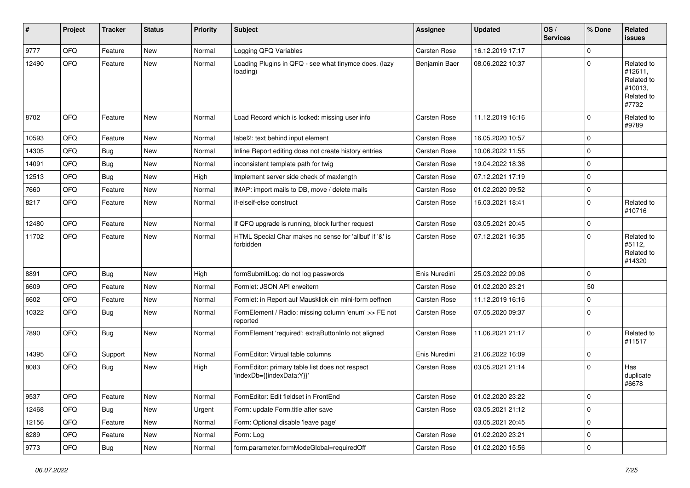| #     | Project | <b>Tracker</b> | <b>Status</b> | <b>Priority</b> | <b>Subject</b>                                                               | Assignee            | <b>Updated</b>   | OS/<br><b>Services</b> | % Done      | Related<br>issues                                                     |
|-------|---------|----------------|---------------|-----------------|------------------------------------------------------------------------------|---------------------|------------------|------------------------|-------------|-----------------------------------------------------------------------|
| 9777  | QFQ     | Feature        | <b>New</b>    | Normal          | Logging QFQ Variables                                                        | <b>Carsten Rose</b> | 16.12.2019 17:17 |                        | $\mathbf 0$ |                                                                       |
| 12490 | QFQ     | Feature        | <b>New</b>    | Normal          | Loading Plugins in QFQ - see what tinymce does. (lazy<br>loading)            | Benjamin Baer       | 08.06.2022 10:37 |                        | $\Omega$    | Related to<br>#12611,<br>Related to<br>#10013,<br>Related to<br>#7732 |
| 8702  | QFQ     | Feature        | <b>New</b>    | Normal          | Load Record which is locked: missing user info                               | Carsten Rose        | 11.12.2019 16:16 |                        | $\Omega$    | Related to<br>#9789                                                   |
| 10593 | QFQ     | Feature        | <b>New</b>    | Normal          | label2: text behind input element                                            | <b>Carsten Rose</b> | 16.05.2020 10:57 |                        | $\mathbf 0$ |                                                                       |
| 14305 | QFQ     | <b>Bug</b>     | <b>New</b>    | Normal          | Inline Report editing does not create history entries                        | <b>Carsten Rose</b> | 10.06.2022 11:55 |                        | $\mathbf 0$ |                                                                       |
| 14091 | QFQ     | Bug            | New           | Normal          | inconsistent template path for twig                                          | <b>Carsten Rose</b> | 19.04.2022 18:36 |                        | $\mathbf 0$ |                                                                       |
| 12513 | QFQ     | Bug            | <b>New</b>    | High            | Implement server side check of maxlength                                     | <b>Carsten Rose</b> | 07.12.2021 17:19 |                        | $\mathbf 0$ |                                                                       |
| 7660  | QFQ     | Feature        | New           | Normal          | IMAP: import mails to DB, move / delete mails                                | <b>Carsten Rose</b> | 01.02.2020 09:52 |                        | $\mathbf 0$ |                                                                       |
| 8217  | QFQ     | Feature        | New           | Normal          | if-elseif-else construct                                                     | <b>Carsten Rose</b> | 16.03.2021 18:41 |                        | $\mathbf 0$ | Related to<br>#10716                                                  |
| 12480 | QFQ     | Feature        | New           | Normal          | If QFQ upgrade is running, block further request                             | <b>Carsten Rose</b> | 03.05.2021 20:45 |                        | $\mathbf 0$ |                                                                       |
| 11702 | QFQ     | Feature        | <b>New</b>    | Normal          | HTML Special Char makes no sense for 'allbut' if '&' is<br>forbidden         | <b>Carsten Rose</b> | 07.12.2021 16:35 |                        | $\Omega$    | Related to<br>#5112,<br>Related to<br>#14320                          |
| 8891  | QFQ     | Bug            | <b>New</b>    | High            | formSubmitLog: do not log passwords                                          | Enis Nuredini       | 25.03.2022 09:06 |                        | $\mathbf 0$ |                                                                       |
| 6609  | QFQ     | Feature        | <b>New</b>    | Normal          | Formlet: JSON API erweitern                                                  | <b>Carsten Rose</b> | 01.02.2020 23:21 |                        | 50          |                                                                       |
| 6602  | QFQ     | Feature        | <b>New</b>    | Normal          | Formlet: in Report auf Mausklick ein mini-form oeffnen                       | <b>Carsten Rose</b> | 11.12.2019 16:16 |                        | 0           |                                                                       |
| 10322 | QFQ     | <b>Bug</b>     | <b>New</b>    | Normal          | FormElement / Radio: missing column 'enum' >> FE not<br>reported             | <b>Carsten Rose</b> | 07.05.2020 09:37 |                        | $\mathbf 0$ |                                                                       |
| 7890  | QFQ     | <b>Bug</b>     | <b>New</b>    | Normal          | FormElement 'required': extraButtonInfo not aligned                          | Carsten Rose        | 11.06.2021 21:17 |                        | $\Omega$    | Related to<br>#11517                                                  |
| 14395 | QFQ     | Support        | <b>New</b>    | Normal          | FormEditor: Virtual table columns                                            | Enis Nuredini       | 21.06.2022 16:09 |                        | $\mathbf 0$ |                                                                       |
| 8083  | QFQ     | <b>Bug</b>     | <b>New</b>    | High            | FormEditor: primary table list does not respect<br>'indexDb={{indexData:Y}}' | <b>Carsten Rose</b> | 03.05.2021 21:14 |                        | $\mathbf 0$ | Has<br>duplicate<br>#6678                                             |
| 9537  | QFQ     | Feature        | New           | Normal          | FormEditor: Edit fieldset in FrontEnd                                        | Carsten Rose        | 01.02.2020 23:22 |                        | 0           |                                                                       |
| 12468 | QFQ     | <b>Bug</b>     | New           | Urgent          | Form: update Form.title after save                                           | Carsten Rose        | 03.05.2021 21:12 |                        | $\pmb{0}$   |                                                                       |
| 12156 | QFQ     | Feature        | New           | Normal          | Form: Optional disable 'leave page'                                          |                     | 03.05.2021 20:45 |                        | 0           |                                                                       |
| 6289  | QFQ     | Feature        | New           | Normal          | Form: Log                                                                    | Carsten Rose        | 01.02.2020 23:21 |                        | $\mathbf 0$ |                                                                       |
| 9773  | QFQ     | <b>Bug</b>     | New           | Normal          | form.parameter.formModeGlobal=requiredOff                                    | Carsten Rose        | 01.02.2020 15:56 |                        | $\mathbf 0$ |                                                                       |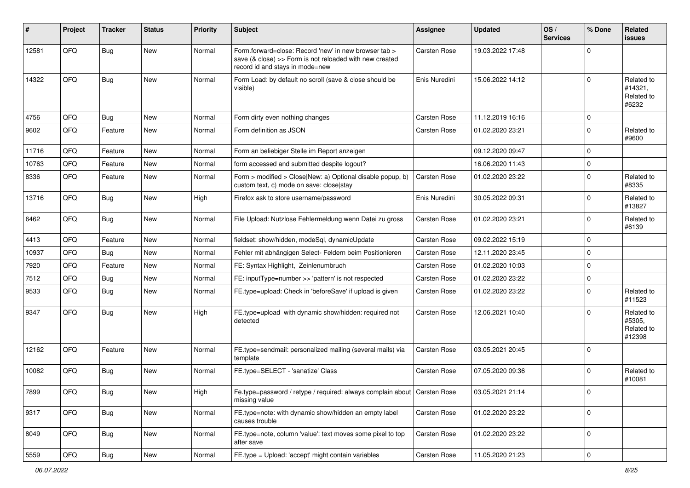| #     | Project | <b>Tracker</b> | <b>Status</b> | <b>Priority</b> | Subject                                                                                                                                             | <b>Assignee</b>     | <b>Updated</b>   | OS/<br><b>Services</b> | % Done      | Related<br><b>issues</b>                     |
|-------|---------|----------------|---------------|-----------------|-----------------------------------------------------------------------------------------------------------------------------------------------------|---------------------|------------------|------------------------|-------------|----------------------------------------------|
| 12581 | QFQ     | <b>Bug</b>     | New           | Normal          | Form.forward=close: Record 'new' in new browser tab ><br>save (& close) >> Form is not reloaded with new created<br>record id and stays in mode=new | Carsten Rose        | 19.03.2022 17:48 |                        | $\Omega$    |                                              |
| 14322 | QFQ     | <b>Bug</b>     | New           | Normal          | Form Load: by default no scroll (save & close should be<br>visible)                                                                                 | Enis Nuredini       | 15.06.2022 14:12 |                        | $\Omega$    | Related to<br>#14321,<br>Related to<br>#6232 |
| 4756  | QFQ     | <b>Bug</b>     | <b>New</b>    | Normal          | Form dirty even nothing changes                                                                                                                     | Carsten Rose        | 11.12.2019 16:16 |                        | $\Omega$    |                                              |
| 9602  | QFQ     | Feature        | <b>New</b>    | Normal          | Form definition as JSON                                                                                                                             | <b>Carsten Rose</b> | 01.02.2020 23:21 |                        | $\mathbf 0$ | Related to<br>#9600                          |
| 11716 | QFQ     | Feature        | <b>New</b>    | Normal          | Form an beliebiger Stelle im Report anzeigen                                                                                                        |                     | 09.12.2020 09:47 |                        | $\Omega$    |                                              |
| 10763 | QFQ     | Feature        | <b>New</b>    | Normal          | form accessed and submitted despite logout?                                                                                                         |                     | 16.06.2020 11:43 |                        | $\mathbf 0$ |                                              |
| 8336  | QFQ     | Feature        | New           | Normal          | Form > modified > Close New: a) Optional disable popup, b)<br>custom text, c) mode on save: close stay                                              | Carsten Rose        | 01.02.2020 23:22 |                        | $\mathbf 0$ | Related to<br>#8335                          |
| 13716 | QFQ     | <b>Bug</b>     | New           | High            | Firefox ask to store username/password                                                                                                              | Enis Nuredini       | 30.05.2022 09:31 |                        | $\Omega$    | Related to<br>#13827                         |
| 6462  | QFQ     | <b>Bug</b>     | <b>New</b>    | Normal          | File Upload: Nutzlose Fehlermeldung wenn Datei zu gross                                                                                             | <b>Carsten Rose</b> | 01.02.2020 23:21 |                        | $\mathbf 0$ | Related to<br>#6139                          |
| 4413  | QFQ     | Feature        | <b>New</b>    | Normal          | fieldset: show/hidden, modeSql, dynamicUpdate                                                                                                       | Carsten Rose        | 09.02.2022 15:19 |                        | $\Omega$    |                                              |
| 10937 | QFQ     | Bug            | <b>New</b>    | Normal          | Fehler mit abhängigen Select- Feldern beim Positionieren                                                                                            | <b>Carsten Rose</b> | 12.11.2020 23:45 |                        | $\mathbf 0$ |                                              |
| 7920  | QFQ     | Feature        | <b>New</b>    | Normal          | FE: Syntax Highlight, Zeinlenumbruch                                                                                                                | Carsten Rose        | 01.02.2020 10:03 |                        | $\mathbf 0$ |                                              |
| 7512  | QFQ     | <b>Bug</b>     | <b>New</b>    | Normal          | FE: inputType=number >> 'pattern' is not respected                                                                                                  | <b>Carsten Rose</b> | 01.02.2020 23:22 |                        | $\mathbf 0$ |                                              |
| 9533  | QFQ     | Bug            | <b>New</b>    | Normal          | FE.type=upload: Check in 'beforeSave' if upload is given                                                                                            | Carsten Rose        | 01.02.2020 23:22 |                        | $\Omega$    | Related to<br>#11523                         |
| 9347  | QFQ     | Bug            | <b>New</b>    | High            | FE.type=upload with dynamic show/hidden: required not<br>detected                                                                                   | Carsten Rose        | 12.06.2021 10:40 |                        | $\Omega$    | Related to<br>#5305,<br>Related to<br>#12398 |
| 12162 | QFQ     | Feature        | New           | Normal          | FE.type=sendmail: personalized mailing (several mails) via<br>template                                                                              | Carsten Rose        | 03.05.2021 20:45 |                        | $\mathbf 0$ |                                              |
| 10082 | QFQ     | Bug            | New           | Normal          | FE.type=SELECT - 'sanatize' Class                                                                                                                   | <b>Carsten Rose</b> | 07.05.2020 09:36 |                        | $\mathbf 0$ | Related to<br>#10081                         |
| 7899  | QFQ     | <b>Bug</b>     | New           | High            | Fe.type=password / retype / required: always complain about   Carsten Rose<br>missing value                                                         |                     | 03.05.2021 21:14 |                        | 0           |                                              |
| 9317  | QFQ     | <b>Bug</b>     | New           | Normal          | FE.type=note: with dynamic show/hidden an empty label<br>causes trouble                                                                             | Carsten Rose        | 01.02.2020 23:22 |                        | $\mathbf 0$ |                                              |
| 8049  | QFQ     | <b>Bug</b>     | New           | Normal          | FE.type=note, column 'value': text moves some pixel to top<br>after save                                                                            | Carsten Rose        | 01.02.2020 23:22 |                        | $\mathbf 0$ |                                              |
| 5559  | QFQ     | Bug            | New           | Normal          | FE.type = Upload: 'accept' might contain variables                                                                                                  | Carsten Rose        | 11.05.2020 21:23 |                        | $\pmb{0}$   |                                              |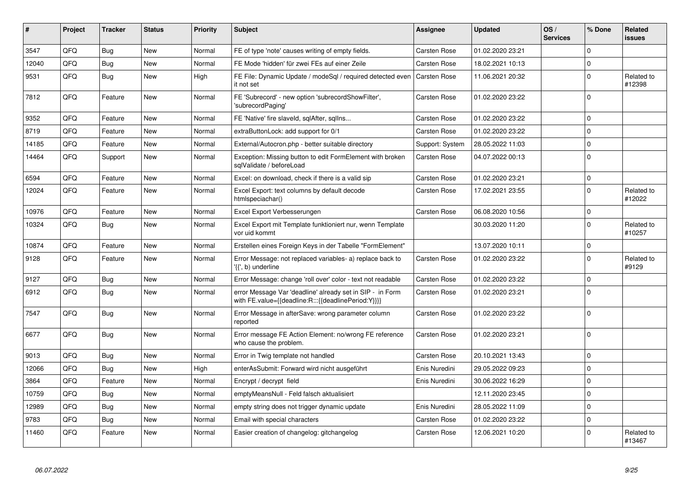| $\vert$ # | Project | <b>Tracker</b> | <b>Status</b> | <b>Priority</b> | <b>Subject</b>                                                                                                   | Assignee            | <b>Updated</b>   | OS/<br><b>Services</b> | % Done      | Related<br><b>issues</b> |
|-----------|---------|----------------|---------------|-----------------|------------------------------------------------------------------------------------------------------------------|---------------------|------------------|------------------------|-------------|--------------------------|
| 3547      | QFQ     | <b>Bug</b>     | <b>New</b>    | Normal          | FE of type 'note' causes writing of empty fields.                                                                | <b>Carsten Rose</b> | 01.02.2020 23:21 |                        | $\mathbf 0$ |                          |
| 12040     | QFQ     | Bug            | <b>New</b>    | Normal          | FE Mode 'hidden' für zwei FEs auf einer Zeile                                                                    | Carsten Rose        | 18.02.2021 10:13 |                        | $\mathbf 0$ |                          |
| 9531      | QFQ     | <b>Bug</b>     | <b>New</b>    | High            | FE File: Dynamic Update / modeSgl / required detected even<br>it not set                                         | <b>Carsten Rose</b> | 11.06.2021 20:32 |                        | $\mathbf 0$ | Related to<br>#12398     |
| 7812      | QFQ     | Feature        | New           | Normal          | FE 'Subrecord' - new option 'subrecordShowFilter',<br>'subrecordPaging'                                          | Carsten Rose        | 01.02.2020 23:22 |                        | $\Omega$    |                          |
| 9352      | QFQ     | Feature        | <b>New</b>    | Normal          | FE 'Native' fire slaveld, sqlAfter, sqlIns                                                                       | <b>Carsten Rose</b> | 01.02.2020 23:22 |                        | $\mathbf 0$ |                          |
| 8719      | QFQ     | Feature        | New           | Normal          | extraButtonLock: add support for 0/1                                                                             | <b>Carsten Rose</b> | 01.02.2020 23:22 |                        | $\mathbf 0$ |                          |
| 14185     | QFQ     | Feature        | <b>New</b>    | Normal          | External/Autocron.php - better suitable directory                                                                | Support: System     | 28.05.2022 11:03 |                        | $\pmb{0}$   |                          |
| 14464     | QFQ     | Support        | New           | Normal          | Exception: Missing button to edit FormElement with broken<br>sqlValidate / beforeLoad                            | <b>Carsten Rose</b> | 04.07.2022 00:13 |                        | $\mathbf 0$ |                          |
| 6594      | QFQ     | Feature        | <b>New</b>    | Normal          | Excel: on download, check if there is a valid sip                                                                | <b>Carsten Rose</b> | 01.02.2020 23:21 |                        | $\mathbf 0$ |                          |
| 12024     | QFQ     | Feature        | New           | Normal          | Excel Export: text columns by default decode<br>htmlspeciachar()                                                 | <b>Carsten Rose</b> | 17.02.2021 23:55 |                        | $\mathbf 0$ | Related to<br>#12022     |
| 10976     | QFQ     | Feature        | <b>New</b>    | Normal          | Excel Export Verbesserungen                                                                                      | Carsten Rose        | 06.08.2020 10:56 |                        | $\mathbf 0$ |                          |
| 10324     | QFQ     | <b>Bug</b>     | <b>New</b>    | Normal          | Excel Export mit Template funktioniert nur, wenn Template<br>vor uid kommt                                       |                     | 30.03.2020 11:20 |                        | $\Omega$    | Related to<br>#10257     |
| 10874     | QFQ     | Feature        | <b>New</b>    | Normal          | Erstellen eines Foreign Keys in der Tabelle "FormElement"                                                        |                     | 13.07.2020 10:11 |                        | $\mathbf 0$ |                          |
| 9128      | QFQ     | Feature        | <b>New</b>    | Normal          | Error Message: not replaced variables- a) replace back to<br>'{{', b) underline                                  | <b>Carsten Rose</b> | 01.02.2020 23:22 |                        | $\mathbf 0$ | Related to<br>#9129      |
| 9127      | QFQ     | <b>Bug</b>     | <b>New</b>    | Normal          | Error Message: change 'roll over' color - text not readable                                                      | <b>Carsten Rose</b> | 01.02.2020 23:22 |                        | $\mathbf 0$ |                          |
| 6912      | QFQ     | Bug            | <b>New</b>    | Normal          | error Message Var 'deadline' already set in SIP - in Form<br>with FE.value={{deadline:R:::{{deadlinePeriod:Y}}}} | <b>Carsten Rose</b> | 01.02.2020 23:21 |                        | $\mathbf 0$ |                          |
| 7547      | QFQ     | Bug            | <b>New</b>    | Normal          | Error Message in afterSave: wrong parameter column<br>reported                                                   | Carsten Rose        | 01.02.2020 23:22 |                        | $\mathbf 0$ |                          |
| 6677      | QFQ     | Bug            | <b>New</b>    | Normal          | Error message FE Action Element: no/wrong FE reference<br>who cause the problem.                                 | <b>Carsten Rose</b> | 01.02.2020 23:21 |                        | $\mathbf 0$ |                          |
| 9013      | QFQ     | Bug            | <b>New</b>    | Normal          | Error in Twig template not handled                                                                               | <b>Carsten Rose</b> | 20.10.2021 13:43 |                        | $\mathbf 0$ |                          |
| 12066     | QFQ     | Bug            | <b>New</b>    | High            | enterAsSubmit: Forward wird nicht ausgeführt                                                                     | Enis Nuredini       | 29.05.2022 09:23 |                        | $\mathbf 0$ |                          |
| 3864      | QFQ     | Feature        | <b>New</b>    | Normal          | Encrypt / decrypt field                                                                                          | Enis Nuredini       | 30.06.2022 16:29 |                        | $\mathbf 0$ |                          |
| 10759     | QFQ     | Bug            | <b>New</b>    | Normal          | emptyMeansNull - Feld falsch aktualisiert                                                                        |                     | 12.11.2020 23:45 |                        | $\mathbf 0$ |                          |
| 12989     | QFQ     | <b>Bug</b>     | <b>New</b>    | Normal          | empty string does not trigger dynamic update                                                                     | Enis Nuredini       | 28.05.2022 11:09 |                        | $\mathbf 0$ |                          |
| 9783      | QFQ     | Bug            | <b>New</b>    | Normal          | Email with special characters                                                                                    | Carsten Rose        | 01.02.2020 23:22 |                        | $\mathbf 0$ |                          |
| 11460     | QFQ     | Feature        | <b>New</b>    | Normal          | Easier creation of changelog: gitchangelog                                                                       | <b>Carsten Rose</b> | 12.06.2021 10:20 |                        | $\Omega$    | Related to<br>#13467     |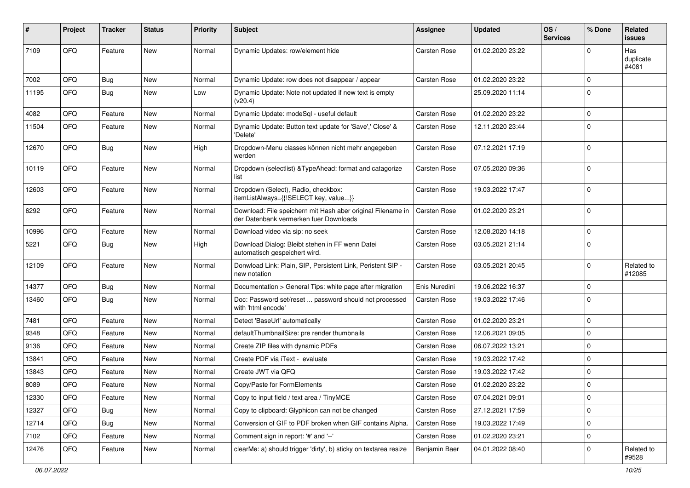| #     | Project | <b>Tracker</b> | <b>Status</b> | <b>Priority</b> | <b>Subject</b>                                                                                        | Assignee            | <b>Updated</b>   | OS/<br><b>Services</b> | % Done      | <b>Related</b><br><b>issues</b> |
|-------|---------|----------------|---------------|-----------------|-------------------------------------------------------------------------------------------------------|---------------------|------------------|------------------------|-------------|---------------------------------|
| 7109  | QFQ     | Feature        | <b>New</b>    | Normal          | Dynamic Updates: row/element hide                                                                     | <b>Carsten Rose</b> | 01.02.2020 23:22 |                        | $\Omega$    | Has<br>duplicate<br>#4081       |
| 7002  | QFQ     | Bug            | <b>New</b>    | Normal          | Dynamic Update: row does not disappear / appear                                                       | <b>Carsten Rose</b> | 01.02.2020 23:22 |                        | $\mathbf 0$ |                                 |
| 11195 | QFQ     | <b>Bug</b>     | <b>New</b>    | Low             | Dynamic Update: Note not updated if new text is empty<br>(v20.4)                                      |                     | 25.09.2020 11:14 |                        | $\mathbf 0$ |                                 |
| 4082  | QFQ     | Feature        | <b>New</b>    | Normal          | Dynamic Update: modeSql - useful default                                                              | <b>Carsten Rose</b> | 01.02.2020 23:22 |                        | $\mathbf 0$ |                                 |
| 11504 | QFQ     | Feature        | New           | Normal          | Dynamic Update: Button text update for 'Save',' Close' &<br>'Delete'                                  | Carsten Rose        | 12.11.2020 23:44 |                        | $\mathbf 0$ |                                 |
| 12670 | QFQ     | Bug            | <b>New</b>    | High            | Dropdown-Menu classes können nicht mehr angegeben<br>werden                                           | Carsten Rose        | 07.12.2021 17:19 |                        | $\mathbf 0$ |                                 |
| 10119 | QFQ     | Feature        | <b>New</b>    | Normal          | Dropdown (selectlist) & TypeAhead: format and catagorize<br>list                                      | <b>Carsten Rose</b> | 07.05.2020 09:36 |                        | $\mathbf 0$ |                                 |
| 12603 | QFQ     | Feature        | New           | Normal          | Dropdown (Select), Radio, checkbox:<br>itemListAlways={{!SELECT key, value}}                          | <b>Carsten Rose</b> | 19.03.2022 17:47 |                        | $\mathbf 0$ |                                 |
| 6292  | QFQ     | Feature        | <b>New</b>    | Normal          | Download: File speichern mit Hash aber original Filename in<br>der Datenbank vermerken fuer Downloads | <b>Carsten Rose</b> | 01.02.2020 23:21 |                        | $\mathbf 0$ |                                 |
| 10996 | QFQ     | Feature        | <b>New</b>    | Normal          | Download video via sip: no seek                                                                       | <b>Carsten Rose</b> | 12.08.2020 14:18 |                        | $\mathbf 0$ |                                 |
| 5221  | QFQ     | Bug            | <b>New</b>    | High            | Download Dialog: Bleibt stehen in FF wenn Datei<br>automatisch gespeichert wird.                      | Carsten Rose        | 03.05.2021 21:14 |                        | $\mathbf 0$ |                                 |
| 12109 | QFQ     | Feature        | <b>New</b>    | Normal          | Donwload Link: Plain, SIP, Persistent Link, Peristent SIP -<br>new notation                           | Carsten Rose        | 03.05.2021 20:45 |                        | $\mathbf 0$ | Related to<br>#12085            |
| 14377 | QFQ     | Bug            | <b>New</b>    | Normal          | Documentation > General Tips: white page after migration                                              | Enis Nuredini       | 19.06.2022 16:37 |                        | $\mathbf 0$ |                                 |
| 13460 | QFQ     | Bug            | New           | Normal          | Doc: Password set/reset  password should not processed<br>with 'html encode'                          | Carsten Rose        | 19.03.2022 17:46 |                        | $\mathbf 0$ |                                 |
| 7481  | QFQ     | Feature        | <b>New</b>    | Normal          | Detect 'BaseUrl' automatically                                                                        | <b>Carsten Rose</b> | 01.02.2020 23:21 |                        | $\mathbf 0$ |                                 |
| 9348  | QFQ     | Feature        | <b>New</b>    | Normal          | defaultThumbnailSize: pre render thumbnails                                                           | <b>Carsten Rose</b> | 12.06.2021 09:05 |                        | $\mathbf 0$ |                                 |
| 9136  | QFQ     | Feature        | New           | Normal          | Create ZIP files with dynamic PDFs                                                                    | <b>Carsten Rose</b> | 06.07.2022 13:21 |                        | $\mathbf 0$ |                                 |
| 13841 | QFQ     | Feature        | New           | Normal          | Create PDF via iText - evaluate                                                                       | <b>Carsten Rose</b> | 19.03.2022 17:42 |                        | $\mathbf 0$ |                                 |
| 13843 | QFQ     | Feature        | New           | Normal          | Create JWT via QFQ                                                                                    | <b>Carsten Rose</b> | 19.03.2022 17:42 |                        | $\mathbf 0$ |                                 |
| 8089  | QFQ     | Feature        | New           | Normal          | Copy/Paste for FormElements                                                                           | Carsten Rose        | 01.02.2020 23:22 |                        | $\mathbf 0$ |                                 |
| 12330 | QFQ     | Feature        | New           | Normal          | Copy to input field / text area / TinyMCE                                                             | Carsten Rose        | 07.04.2021 09:01 |                        | $\mathbf 0$ |                                 |
| 12327 | QFQ     | <b>Bug</b>     | New           | Normal          | Copy to clipboard: Glyphicon can not be changed                                                       | Carsten Rose        | 27.12.2021 17:59 |                        | $\mathbf 0$ |                                 |
| 12714 | QFQ     | <b>Bug</b>     | <b>New</b>    | Normal          | Conversion of GIF to PDF broken when GIF contains Alpha.                                              | Carsten Rose        | 19.03.2022 17:49 |                        | $\mathbf 0$ |                                 |
| 7102  | QFQ     | Feature        | New           | Normal          | Comment sign in report: '#' and '--'                                                                  | Carsten Rose        | 01.02.2020 23:21 |                        | $\mathbf 0$ |                                 |
| 12476 | QFQ     | Feature        | New           | Normal          | clearMe: a) should trigger 'dirty', b) sticky on textarea resize                                      | Benjamin Baer       | 04.01.2022 08:40 |                        | 0           | Related to<br>#9528             |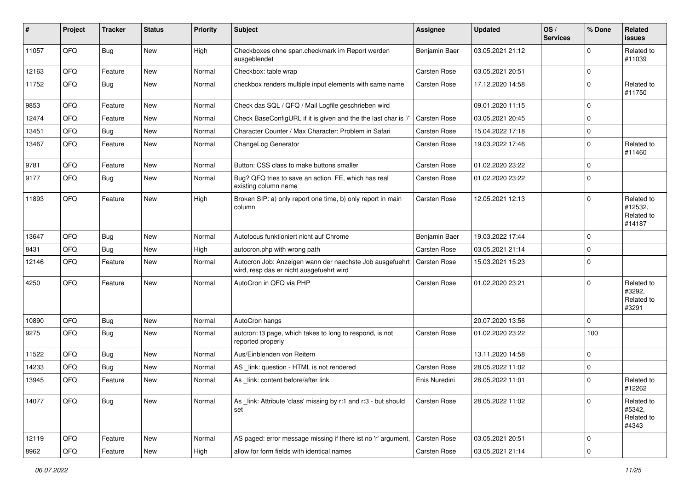| #     | Project | <b>Tracker</b> | <b>Status</b> | <b>Priority</b> | <b>Subject</b>                                                                                       | <b>Assignee</b>     | <b>Updated</b>   | OS/<br><b>Services</b> | % Done      | Related<br><b>issues</b>                      |
|-------|---------|----------------|---------------|-----------------|------------------------------------------------------------------------------------------------------|---------------------|------------------|------------------------|-------------|-----------------------------------------------|
| 11057 | QFQ     | Bug            | New           | High            | Checkboxes ohne span.checkmark im Report werden<br>ausgeblendet                                      | Benjamin Baer       | 03.05.2021 21:12 |                        | $\Omega$    | Related to<br>#11039                          |
| 12163 | QFQ     | Feature        | <b>New</b>    | Normal          | Checkbox: table wrap                                                                                 | <b>Carsten Rose</b> | 03.05.2021 20:51 |                        | $\mathbf 0$ |                                               |
| 11752 | QFQ     | Bug            | New           | Normal          | checkbox renders multiple input elements with same name                                              | <b>Carsten Rose</b> | 17.12.2020 14:58 |                        | $\Omega$    | Related to<br>#11750                          |
| 9853  | QFQ     | Feature        | <b>New</b>    | Normal          | Check das SQL / QFQ / Mail Logfile geschrieben wird                                                  |                     | 09.01.2020 11:15 |                        | $\mathbf 0$ |                                               |
| 12474 | QFQ     | Feature        | <b>New</b>    | Normal          | Check BaseConfigURL if it is given and the the last char is '/'                                      | <b>Carsten Rose</b> | 03.05.2021 20:45 |                        | $\mathbf 0$ |                                               |
| 13451 | QFQ     | Bug            | <b>New</b>    | Normal          | Character Counter / Max Character: Problem in Safari                                                 | <b>Carsten Rose</b> | 15.04.2022 17:18 |                        | $\mathbf 0$ |                                               |
| 13467 | QFQ     | Feature        | <b>New</b>    | Normal          | ChangeLog Generator                                                                                  | <b>Carsten Rose</b> | 19.03.2022 17:46 |                        | $\Omega$    | Related to<br>#11460                          |
| 9781  | QFQ     | Feature        | <b>New</b>    | Normal          | Button: CSS class to make buttons smaller                                                            | <b>Carsten Rose</b> | 01.02.2020 23:22 |                        | $\mathbf 0$ |                                               |
| 9177  | QFQ     | Bug            | New           | Normal          | Bug? QFQ tries to save an action FE, which has real<br>existing column name                          | <b>Carsten Rose</b> | 01.02.2020 23:22 |                        | $\Omega$    |                                               |
| 11893 | QFQ     | Feature        | <b>New</b>    | High            | Broken SIP: a) only report one time, b) only report in main<br>column                                | <b>Carsten Rose</b> | 12.05.2021 12:13 |                        | $\Omega$    | Related to<br>#12532,<br>Related to<br>#14187 |
| 13647 | QFQ     | Bug            | <b>New</b>    | Normal          | Autofocus funktioniert nicht auf Chrome                                                              | Benjamin Baer       | 19.03.2022 17:44 |                        | $\mathbf 0$ |                                               |
| 8431  | QFQ     | Bug            | <b>New</b>    | High            | autocron.php with wrong path                                                                         | <b>Carsten Rose</b> | 03.05.2021 21:14 |                        | $\Omega$    |                                               |
| 12146 | QFQ     | Feature        | <b>New</b>    | Normal          | Autocron Job: Anzeigen wann der naechste Job ausgefuehrt<br>wird, resp das er nicht ausgefuehrt wird | <b>Carsten Rose</b> | 15.03.2021 15:23 |                        | $\Omega$    |                                               |
| 4250  | QFQ     | Feature        | <b>New</b>    | Normal          | AutoCron in QFQ via PHP                                                                              | <b>Carsten Rose</b> | 01.02.2020 23:21 |                        | $\mathbf 0$ | Related to<br>#3292,<br>Related to<br>#3291   |
| 10890 | QFQ     | Bug            | <b>New</b>    | Normal          | AutoCron hangs                                                                                       |                     | 20.07.2020 13:56 |                        | $\mathbf 0$ |                                               |
| 9275  | QFQ     | Bug            | <b>New</b>    | Normal          | autcron: t3 page, which takes to long to respond, is not<br>reported properly                        | Carsten Rose        | 01.02.2020 23:22 |                        | 100         |                                               |
| 11522 | QFQ     | Bug            | <b>New</b>    | Normal          | Aus/Einblenden von Reitern                                                                           |                     | 13.11.2020 14:58 |                        | $\mathbf 0$ |                                               |
| 14233 | QFQ     | Bug            | <b>New</b>    | Normal          | AS _link: question - HTML is not rendered                                                            | Carsten Rose        | 28.05.2022 11:02 |                        | $\mathbf 0$ |                                               |
| 13945 | QFQ     | Feature        | <b>New</b>    | Normal          | As link: content before/after link                                                                   | Enis Nuredini       | 28.05.2022 11:01 |                        | $\Omega$    | Related to<br>#12262                          |
| 14077 | QFQ     | Bug            | New           | Normal          | As link: Attribute 'class' missing by r:1 and r:3 - but should<br>set                                | Carsten Rose        | 28.05.2022 11:02 |                        | $\mathbf 0$ | Related to<br>#5342,<br>Related to<br>#4343   |
| 12119 | QFQ     | Feature        | New           | Normal          | AS paged: error message missing if there ist no 'r' argument.                                        | Carsten Rose        | 03.05.2021 20:51 |                        | $\mathbf 0$ |                                               |
| 8962  | QFG     | Feature        | New           | High            | allow for form fields with identical names                                                           | Carsten Rose        | 03.05.2021 21:14 |                        | $\mathbf 0$ |                                               |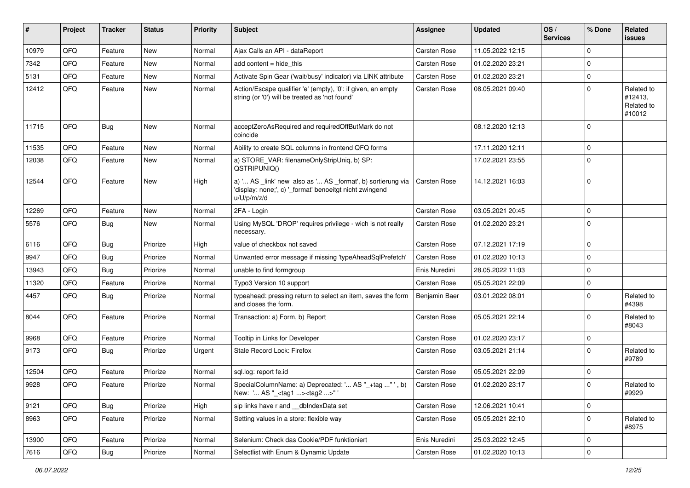| ∦     | Project | <b>Tracker</b> | <b>Status</b> | <b>Priority</b> | Subject                                                                                                                               | <b>Assignee</b>     | <b>Updated</b>   | OS/<br><b>Services</b> | % Done      | <b>Related</b><br><b>issues</b>               |
|-------|---------|----------------|---------------|-----------------|---------------------------------------------------------------------------------------------------------------------------------------|---------------------|------------------|------------------------|-------------|-----------------------------------------------|
| 10979 | QFQ     | Feature        | <b>New</b>    | Normal          | Ajax Calls an API - dataReport                                                                                                        | Carsten Rose        | 11.05.2022 12:15 |                        | $\Omega$    |                                               |
| 7342  | QFQ     | Feature        | New           | Normal          | add content = hide this                                                                                                               | <b>Carsten Rose</b> | 01.02.2020 23:21 |                        | $\Omega$    |                                               |
| 5131  | QFQ     | Feature        | New           | Normal          | Activate Spin Gear ('wait/busy' indicator) via LINK attribute                                                                         | Carsten Rose        | 01.02.2020 23:21 |                        | $\Omega$    |                                               |
| 12412 | QFQ     | Feature        | <b>New</b>    | Normal          | Action/Escape qualifier 'e' (empty), '0': if given, an empty<br>string (or '0') will be treated as 'not found'                        | Carsten Rose        | 08.05.2021 09:40 |                        | $\Omega$    | Related to<br>#12413,<br>Related to<br>#10012 |
| 11715 | QFQ     | Bug            | <b>New</b>    | Normal          | acceptZeroAsRequired and requiredOffButMark do not<br>coincide                                                                        |                     | 08.12.2020 12:13 |                        | $\Omega$    |                                               |
| 11535 | QFQ     | Feature        | <b>New</b>    | Normal          | Ability to create SQL columns in frontend QFQ forms                                                                                   |                     | 17.11.2020 12:11 |                        | $\Omega$    |                                               |
| 12038 | QFQ     | Feature        | New           | Normal          | a) STORE_VAR: filenameOnlyStripUniq, b) SP:<br>QSTRIPUNIQ()                                                                           |                     | 17.02.2021 23:55 |                        | $\Omega$    |                                               |
| 12544 | QFQ     | Feature        | <b>New</b>    | High            | a) ' AS _link' new also as ' AS _format', b) sortierung via<br>'display: none;', c) '_format' benoeitgt nicht zwingend<br>u/U/p/m/z/d | <b>Carsten Rose</b> | 14.12.2021 16:03 |                        | $\Omega$    |                                               |
| 12269 | QFQ     | Feature        | <b>New</b>    | Normal          | 2FA - Login                                                                                                                           | <b>Carsten Rose</b> | 03.05.2021 20:45 |                        | $\mathbf 0$ |                                               |
| 5576  | QFQ     | <b>Bug</b>     | New           | Normal          | Using MySQL 'DROP' requires privilege - wich is not really<br>necessary.                                                              | Carsten Rose        | 01.02.2020 23:21 |                        | $\Omega$    |                                               |
| 6116  | QFQ     | Bug            | Priorize      | High            | value of checkbox not saved                                                                                                           | <b>Carsten Rose</b> | 07.12.2021 17:19 |                        | $\Omega$    |                                               |
| 9947  | QFQ     | Bug            | Priorize      | Normal          | Unwanted error message if missing 'typeAheadSqlPrefetch'                                                                              | Carsten Rose        | 01.02.2020 10:13 |                        | $\Omega$    |                                               |
| 13943 | QFQ     | Bug            | Priorize      | Normal          | unable to find formgroup                                                                                                              | Enis Nuredini       | 28.05.2022 11:03 |                        | $\Omega$    |                                               |
| 11320 | QFQ     | Feature        | Priorize      | Normal          | Typo3 Version 10 support                                                                                                              | <b>Carsten Rose</b> | 05.05.2021 22:09 |                        | $\Omega$    |                                               |
| 4457  | QFQ     | Bug            | Priorize      | Normal          | typeahead: pressing return to select an item, saves the form<br>and closes the form.                                                  | Benjamin Baer       | 03.01.2022 08:01 |                        | $\Omega$    | Related to<br>#4398                           |
| 8044  | QFQ     | Feature        | Priorize      | Normal          | Transaction: a) Form, b) Report                                                                                                       | <b>Carsten Rose</b> | 05.05.2021 22:14 |                        | $\Omega$    | Related to<br>#8043                           |
| 9968  | QFQ     | Feature        | Priorize      | Normal          | Tooltip in Links for Developer                                                                                                        | <b>Carsten Rose</b> | 01.02.2020 23:17 |                        | $\Omega$    |                                               |
| 9173  | QFQ     | <b>Bug</b>     | Priorize      | Urgent          | Stale Record Lock: Firefox                                                                                                            | Carsten Rose        | 03.05.2021 21:14 |                        | $\Omega$    | Related to<br>#9789                           |
| 12504 | QFQ     | Feature        | Priorize      | Normal          | sql.log: report fe.id                                                                                                                 | <b>Carsten Rose</b> | 05.05.2021 22:09 |                        | $\Omega$    |                                               |
| 9928  | QFQ     | Feature        | Priorize      | Normal          | SpecialColumnName: a) Deprecated: ' AS "_+tag " ', b)<br>New: ' AS "_ <tag1><tag2>" '</tag2></tag1>                                   | <b>Carsten Rose</b> | 01.02.2020 23:17 |                        | $\Omega$    | Related to<br>#9929                           |
| 9121  | QFQ     | <b>Bug</b>     | Priorize      | High            | sip links have r and __dbIndexData set                                                                                                | Carsten Rose        | 12.06.2021 10:41 |                        | 0           |                                               |
| 8963  | QFQ     | Feature        | Priorize      | Normal          | Setting values in a store: flexible way                                                                                               | Carsten Rose        | 05.05.2021 22:10 |                        | $\mathbf 0$ | Related to<br>#8975                           |
| 13900 | QFQ     | Feature        | Priorize      | Normal          | Selenium: Check das Cookie/PDF funktioniert                                                                                           | Enis Nuredini       | 25.03.2022 12:45 |                        | 0           |                                               |
| 7616  | QFG     | Bug            | Priorize      | Normal          | Selectlist with Enum & Dynamic Update                                                                                                 | Carsten Rose        | 01.02.2020 10:13 |                        | $\pmb{0}$   |                                               |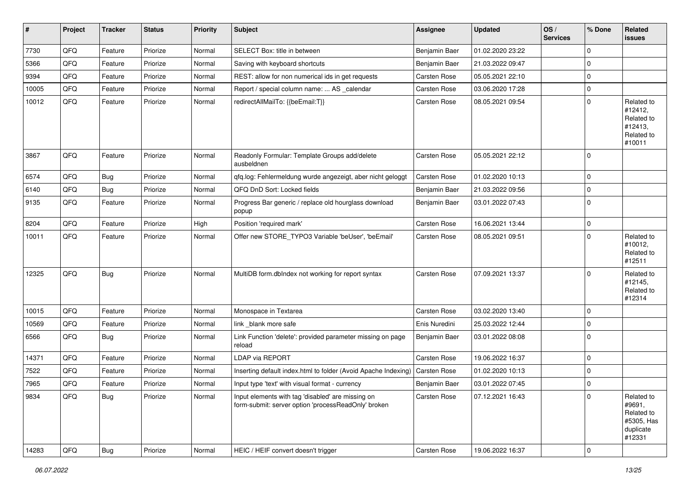| $\vert$ # | Project | <b>Tracker</b> | <b>Status</b> | <b>Priority</b> | <b>Subject</b>                                                                                           | <b>Assignee</b> | <b>Updated</b>   | OS/<br><b>Services</b> | % Done   | Related<br>issues                                                       |
|-----------|---------|----------------|---------------|-----------------|----------------------------------------------------------------------------------------------------------|-----------------|------------------|------------------------|----------|-------------------------------------------------------------------------|
| 7730      | QFQ     | Feature        | Priorize      | Normal          | SELECT Box: title in between                                                                             | Benjamin Baer   | 01.02.2020 23:22 |                        | 0        |                                                                         |
| 5366      | QFQ     | Feature        | Priorize      | Normal          | Saving with keyboard shortcuts                                                                           | Benjamin Baer   | 21.03.2022 09:47 |                        | 0        |                                                                         |
| 9394      | QFQ     | Feature        | Priorize      | Normal          | REST: allow for non numerical ids in get requests                                                        | Carsten Rose    | 05.05.2021 22:10 |                        | $\Omega$ |                                                                         |
| 10005     | QFQ     | Feature        | Priorize      | Normal          | Report / special column name:  AS _calendar                                                              | Carsten Rose    | 03.06.2020 17:28 |                        | 0        |                                                                         |
| 10012     | QFQ     | Feature        | Priorize      | Normal          | redirectAllMailTo: {{beEmail:T}}                                                                         | Carsten Rose    | 08.05.2021 09:54 |                        | 0        | Related to<br>#12412,<br>Related to<br>#12413,<br>Related to<br>#10011  |
| 3867      | QFQ     | Feature        | Priorize      | Normal          | Readonly Formular: Template Groups add/delete<br>ausbeldnen                                              | Carsten Rose    | 05.05.2021 22:12 |                        | 0        |                                                                         |
| 6574      | QFQ     | Bug            | Priorize      | Normal          | qfq.log: Fehlermeldung wurde angezeigt, aber nicht geloggt                                               | Carsten Rose    | 01.02.2020 10:13 |                        | 0        |                                                                         |
| 6140      | QFQ     | <b>Bug</b>     | Priorize      | Normal          | QFQ DnD Sort: Locked fields                                                                              | Benjamin Baer   | 21.03.2022 09:56 |                        | $\Omega$ |                                                                         |
| 9135      | QFQ     | Feature        | Priorize      | Normal          | Progress Bar generic / replace old hourglass download<br>popup                                           | Benjamin Baer   | 03.01.2022 07:43 |                        | 0        |                                                                         |
| 8204      | QFQ     | Feature        | Priorize      | High            | Position 'required mark'                                                                                 | Carsten Rose    | 16.06.2021 13:44 |                        | 0        |                                                                         |
| 10011     | QFQ     | Feature        | Priorize      | Normal          | Offer new STORE_TYPO3 Variable 'beUser', 'beEmail'                                                       | Carsten Rose    | 08.05.2021 09:51 |                        | $\Omega$ | Related to<br>#10012,<br>Related to<br>#12511                           |
| 12325     | QFQ     | <b>Bug</b>     | Priorize      | Normal          | MultiDB form.dbIndex not working for report syntax                                                       | Carsten Rose    | 07.09.2021 13:37 |                        | 0        | Related to<br>#12145,<br>Related to<br>#12314                           |
| 10015     | QFQ     | Feature        | Priorize      | Normal          | Monospace in Textarea                                                                                    | Carsten Rose    | 03.02.2020 13:40 |                        | 0        |                                                                         |
| 10569     | QFQ     | Feature        | Priorize      | Normal          | link _blank more safe                                                                                    | Enis Nuredini   | 25.03.2022 12:44 |                        | 0        |                                                                         |
| 6566      | QFQ     | Bug            | Priorize      | Normal          | Link Function 'delete': provided parameter missing on page<br>reload                                     | Benjamin Baer   | 03.01.2022 08:08 |                        | 0        |                                                                         |
| 14371     | QFQ     | Feature        | Priorize      | Normal          | LDAP via REPORT                                                                                          | Carsten Rose    | 19.06.2022 16:37 |                        | $\Omega$ |                                                                         |
| 7522      | QFQ     | Feature        | Priorize      | Normal          | Inserting default index.html to folder (Avoid Apache Indexing)                                           | Carsten Rose    | 01.02.2020 10:13 |                        | $\Omega$ |                                                                         |
| 7965      | QFQ     | Feature        | Priorize      | Normal          | Input type 'text' with visual format - currency                                                          | Benjamin Baer   | 03.01.2022 07:45 |                        | 0        |                                                                         |
| 9834      | QFQ     | <b>Bug</b>     | Priorize      | Normal          | Input elements with tag 'disabled' are missing on<br>form-submit: server option 'processReadOnly' broken | Carsten Rose    | 07.12.2021 16:43 |                        | 0        | Related to<br>#9691,<br>Related to<br>#5305, Has<br>duplicate<br>#12331 |
| 14283     | QFQ     | Bug            | Priorize      | Normal          | HEIC / HEIF convert doesn't trigger                                                                      | Carsten Rose    | 19.06.2022 16:37 |                        | 0        |                                                                         |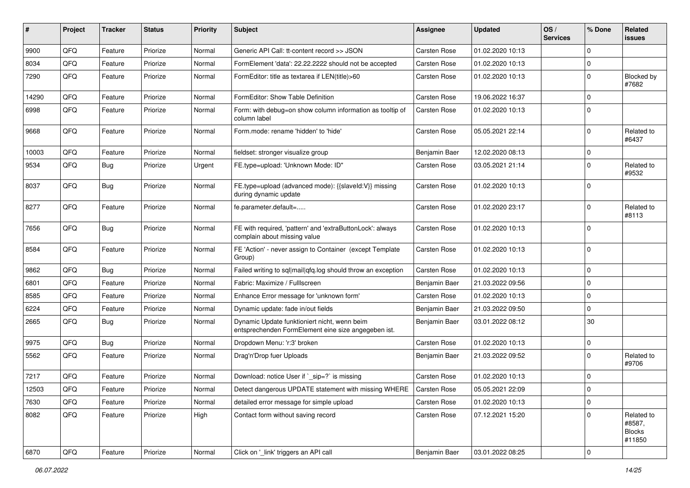| #     | Project | <b>Tracker</b> | <b>Status</b> | <b>Priority</b> | <b>Subject</b>                                                                                      | Assignee            | <b>Updated</b>   | OS/<br><b>Services</b> | % Done      | Related<br><b>issues</b>                        |
|-------|---------|----------------|---------------|-----------------|-----------------------------------------------------------------------------------------------------|---------------------|------------------|------------------------|-------------|-------------------------------------------------|
| 9900  | QFQ     | Feature        | Priorize      | Normal          | Generic API Call: tt-content record >> JSON                                                         | <b>Carsten Rose</b> | 01.02.2020 10:13 |                        | $\mathbf 0$ |                                                 |
| 8034  | QFQ     | Feature        | Priorize      | Normal          | FormElement 'data': 22.22.2222 should not be accepted                                               | <b>Carsten Rose</b> | 01.02.2020 10:13 |                        | $\mathbf 0$ |                                                 |
| 7290  | QFQ     | Feature        | Priorize      | Normal          | FormEditor: title as textarea if LEN(title)>60                                                      | Carsten Rose        | 01.02.2020 10:13 |                        | $\mathbf 0$ | Blocked by<br>#7682                             |
| 14290 | QFQ     | Feature        | Priorize      | Normal          | FormEditor: Show Table Definition                                                                   | <b>Carsten Rose</b> | 19.06.2022 16:37 |                        | $\mathbf 0$ |                                                 |
| 6998  | QFQ     | Feature        | Priorize      | Normal          | Form: with debug=on show column information as tooltip of<br>column label                           | Carsten Rose        | 01.02.2020 10:13 |                        | $\Omega$    |                                                 |
| 9668  | QFQ     | Feature        | Priorize      | Normal          | Form.mode: rename 'hidden' to 'hide'                                                                | Carsten Rose        | 05.05.2021 22:14 |                        | $\mathbf 0$ | Related to<br>#6437                             |
| 10003 | QFQ     | Feature        | Priorize      | Normal          | fieldset: stronger visualize group                                                                  | Benjamin Baer       | 12.02.2020 08:13 |                        | 0           |                                                 |
| 9534  | QFQ     | <b>Bug</b>     | Priorize      | Urgent          | FE.type=upload: 'Unknown Mode: ID"                                                                  | Carsten Rose        | 03.05.2021 21:14 |                        | $\mathbf 0$ | Related to<br>#9532                             |
| 8037  | QFQ     | Bug            | Priorize      | Normal          | FE.type=upload (advanced mode): {{slaveId:V}} missing<br>during dynamic update                      | Carsten Rose        | 01.02.2020 10:13 |                        | $\mathbf 0$ |                                                 |
| 8277  | QFQ     | Feature        | Priorize      | Normal          | fe.parameter.default=                                                                               | Carsten Rose        | 01.02.2020 23:17 |                        | $\mathbf 0$ | Related to<br>#8113                             |
| 7656  | QFQ     | Bug            | Priorize      | Normal          | FE with required, 'pattern' and 'extraButtonLock': always<br>complain about missing value           | Carsten Rose        | 01.02.2020 10:13 |                        | $\Omega$    |                                                 |
| 8584  | QFQ     | Feature        | Priorize      | Normal          | FE 'Action' - never assign to Container (except Template<br>Group)                                  | Carsten Rose        | 01.02.2020 10:13 |                        | $\mathbf 0$ |                                                 |
| 9862  | QFQ     | Bug            | Priorize      | Normal          | Failed writing to sql mail qfq.log should throw an exception                                        | Carsten Rose        | 01.02.2020 10:13 |                        | 0           |                                                 |
| 6801  | QFQ     | Feature        | Priorize      | Normal          | Fabric: Maximize / FullIscreen                                                                      | Benjamin Baer       | 21.03.2022 09:56 |                        | $\mathbf 0$ |                                                 |
| 8585  | QFQ     | Feature        | Priorize      | Normal          | Enhance Error message for 'unknown form'                                                            | Carsten Rose        | 01.02.2020 10:13 |                        | $\mathbf 0$ |                                                 |
| 6224  | QFQ     | Feature        | Priorize      | Normal          | Dynamic update: fade in/out fields                                                                  | Benjamin Baer       | 21.03.2022 09:50 |                        | $\mathbf 0$ |                                                 |
| 2665  | QFQ     | Bug            | Priorize      | Normal          | Dynamic Update funktioniert nicht, wenn beim<br>entsprechenden FormElement eine size angegeben ist. | Benjamin Baer       | 03.01.2022 08:12 |                        | 30          |                                                 |
| 9975  | QFQ     | Bug            | Priorize      | Normal          | Dropdown Menu: 'r:3' broken                                                                         | Carsten Rose        | 01.02.2020 10:13 |                        | $\mathbf 0$ |                                                 |
| 5562  | QFQ     | Feature        | Priorize      | Normal          | Drag'n'Drop fuer Uploads                                                                            | Benjamin Baer       | 21.03.2022 09:52 |                        | $\mathbf 0$ | Related to<br>#9706                             |
| 7217  | QFQ     | Feature        | Priorize      | Normal          | Download: notice User if `_sip=?` is missing                                                        | Carsten Rose        | 01.02.2020 10:13 |                        | $\mathbf 0$ |                                                 |
| 12503 | QFQ     | Feature        | Priorize      | Normal          | Detect dangerous UPDATE statement with missing WHERE                                                | Carsten Rose        | 05.05.2021 22:09 |                        | $\pmb{0}$   |                                                 |
| 7630  | QFQ     | Feature        | Priorize      | Normal          | detailed error message for simple upload                                                            | <b>Carsten Rose</b> | 01.02.2020 10:13 |                        | $\mathbf 0$ |                                                 |
| 8082  | QFQ     | Feature        | Priorize      | High            | Contact form without saving record                                                                  | Carsten Rose        | 07.12.2021 15:20 |                        | $\pmb{0}$   | Related to<br>#8587,<br><b>Blocks</b><br>#11850 |
| 6870  | QFQ     | Feature        | Priorize      | Normal          | Click on '_link' triggers an API call                                                               | Benjamin Baer       | 03.01.2022 08:25 |                        | $\pmb{0}$   |                                                 |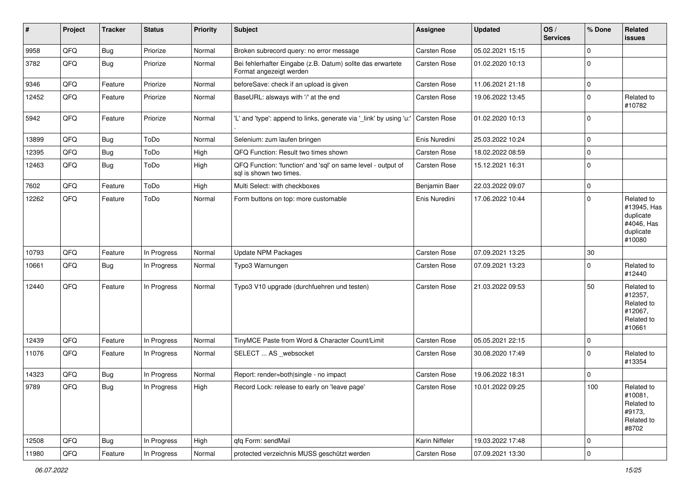| #     | Project        | <b>Tracker</b> | <b>Status</b> | <b>Priority</b> | <b>Subject</b>                                                                          | <b>Assignee</b> | <b>Updated</b>   | OS/<br><b>Services</b> | % Done      | Related<br>issues                                                           |
|-------|----------------|----------------|---------------|-----------------|-----------------------------------------------------------------------------------------|-----------------|------------------|------------------------|-------------|-----------------------------------------------------------------------------|
| 9958  | QFQ            | Bug            | Priorize      | Normal          | Broken subrecord query: no error message                                                | Carsten Rose    | 05.02.2021 15:15 |                        | $\mathbf 0$ |                                                                             |
| 3782  | QFQ            | <b>Bug</b>     | Priorize      | Normal          | Bei fehlerhafter Eingabe (z.B. Datum) sollte das erwartete<br>Format angezeigt werden   | Carsten Rose    | 01.02.2020 10:13 |                        | $\Omega$    |                                                                             |
| 9346  | QFQ            | Feature        | Priorize      | Normal          | beforeSave: check if an upload is given                                                 | Carsten Rose    | 11.06.2021 21:18 |                        | $\mathbf 0$ |                                                                             |
| 12452 | QFQ            | Feature        | Priorize      | Normal          | BaseURL: alsways with '/' at the end                                                    | Carsten Rose    | 19.06.2022 13:45 |                        | $\Omega$    | Related to<br>#10782                                                        |
| 5942  | QFQ            | Feature        | Priorize      | Normal          | 'L' and 'type': append to links, generate via '_link' by using 'u:'                     | Carsten Rose    | 01.02.2020 10:13 |                        | $\Omega$    |                                                                             |
| 13899 | QFQ            | Bug            | ToDo          | Normal          | Selenium: zum laufen bringen                                                            | Enis Nuredini   | 25.03.2022 10:24 |                        | $\Omega$    |                                                                             |
| 12395 | QFQ            | Bug            | ToDo          | High            | QFQ Function: Result two times shown                                                    | Carsten Rose    | 18.02.2022 08:59 |                        | $\mathbf 0$ |                                                                             |
| 12463 | QFQ            | Bug            | ToDo          | High            | QFQ Function: 'function' and 'sql' on same level - output of<br>sql is shown two times. | Carsten Rose    | 15.12.2021 16:31 |                        | $\Omega$    |                                                                             |
| 7602  | QFQ            | Feature        | ToDo          | High            | Multi Select: with checkboxes                                                           | Benjamin Baer   | 22.03.2022 09:07 |                        | 0           |                                                                             |
| 12262 | QFQ            | Feature        | ToDo          | Normal          | Form buttons on top: more customable                                                    | Enis Nuredini   | 17.06.2022 10:44 |                        | $\Omega$    | Related to<br>#13945, Has<br>duplicate<br>#4046, Has<br>duplicate<br>#10080 |
| 10793 | QFQ            | Feature        | In Progress   | Normal          | <b>Update NPM Packages</b>                                                              | Carsten Rose    | 07.09.2021 13:25 |                        | 30          |                                                                             |
| 10661 | QFQ            | <b>Bug</b>     | In Progress   | Normal          | Typo3 Warnungen                                                                         | Carsten Rose    | 07.09.2021 13:23 |                        | $\Omega$    | Related to<br>#12440                                                        |
| 12440 | QFQ            | Feature        | In Progress   | Normal          | Typo3 V10 upgrade (durchfuehren und testen)                                             | Carsten Rose    | 21.03.2022 09:53 |                        | 50          | Related to<br>#12357,<br>Related to<br>#12067,<br>Related to<br>#10661      |
| 12439 | QFQ            | Feature        | In Progress   | Normal          | TinyMCE Paste from Word & Character Count/Limit                                         | Carsten Rose    | 05.05.2021 22:15 |                        | $\Omega$    |                                                                             |
| 11076 | QFQ            | Feature        | In Progress   | Normal          | SELECT  AS _websocket                                                                   | Carsten Rose    | 30.08.2020 17:49 |                        | $\Omega$    | Related to<br>#13354                                                        |
| 14323 | QFQ            | Bug            | In Progress   | Normal          | Report: render=both single - no impact                                                  | Carsten Rose    | 19.06.2022 18:31 |                        | $\mathbf 0$ |                                                                             |
| 9789  | QFQ            | Bug            | In Progress   | High            | Record Lock: release to early on 'leave page'                                           | Carsten Rose    | 10.01.2022 09:25 |                        | 100         | Related to<br>#10081,<br>Related to<br>#9173,<br>Related to<br>#8702        |
| 12508 | QFO            | <b>Bug</b>     | In Progress   | High            | qfq Form: sendMail                                                                      | Karin Niffeler  | 19.03.2022 17:48 |                        | $\mathbf 0$ |                                                                             |
| 11980 | $\mathsf{QFQ}$ | Feature        | In Progress   | Normal          | protected verzeichnis MUSS geschützt werden                                             | Carsten Rose    | 07.09.2021 13:30 |                        | $\pmb{0}$   |                                                                             |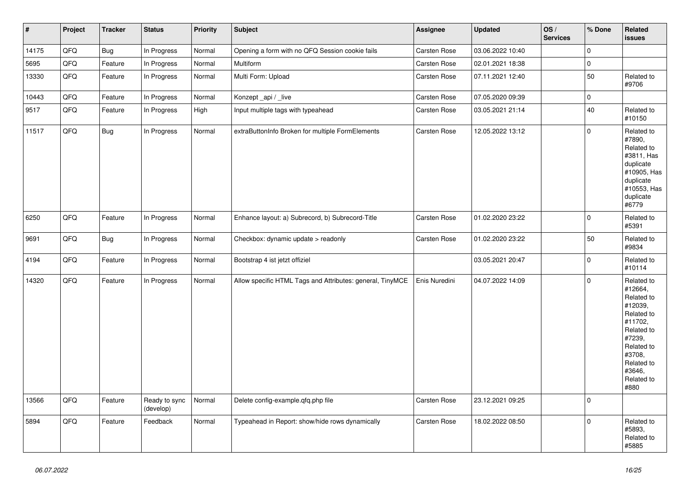| $\vert$ # | Project | <b>Tracker</b> | <b>Status</b>              | <b>Priority</b> | <b>Subject</b>                                            | Assignee      | <b>Updated</b>   | OS/<br><b>Services</b> | % Done       | Related<br><b>issues</b>                                                                                                                                              |
|-----------|---------|----------------|----------------------------|-----------------|-----------------------------------------------------------|---------------|------------------|------------------------|--------------|-----------------------------------------------------------------------------------------------------------------------------------------------------------------------|
| 14175     | QFQ     | <b>Bug</b>     | In Progress                | Normal          | Opening a form with no QFQ Session cookie fails           | Carsten Rose  | 03.06.2022 10:40 |                        | $\pmb{0}$    |                                                                                                                                                                       |
| 5695      | QFQ     | Feature        | In Progress                | Normal          | Multiform                                                 | Carsten Rose  | 02.01.2021 18:38 |                        | $\pmb{0}$    |                                                                                                                                                                       |
| 13330     | QFQ     | Feature        | In Progress                | Normal          | Multi Form: Upload                                        | Carsten Rose  | 07.11.2021 12:40 |                        | 50           | Related to<br>#9706                                                                                                                                                   |
| 10443     | QFQ     | Feature        | In Progress                | Normal          | Konzept_api / _live                                       | Carsten Rose  | 07.05.2020 09:39 |                        | $\pmb{0}$    |                                                                                                                                                                       |
| 9517      | QFQ     | Feature        | In Progress                | High            | Input multiple tags with typeahead                        | Carsten Rose  | 03.05.2021 21:14 |                        | 40           | Related to<br>#10150                                                                                                                                                  |
| 11517     | QFQ     | <b>Bug</b>     | In Progress                | Normal          | extraButtonInfo Broken for multiple FormElements          | Carsten Rose  | 12.05.2022 13:12 |                        | $\mathbf{0}$ | Related to<br>#7890,<br>Related to<br>#3811, Has<br>duplicate<br>#10905, Has<br>duplicate<br>#10553, Has<br>duplicate<br>#6779                                        |
| 6250      | QFQ     | Feature        | In Progress                | Normal          | Enhance layout: a) Subrecord, b) Subrecord-Title          | Carsten Rose  | 01.02.2020 23:22 |                        | $\Omega$     | Related to<br>#5391                                                                                                                                                   |
| 9691      | QFQ     | <b>Bug</b>     | In Progress                | Normal          | Checkbox: dynamic update > readonly                       | Carsten Rose  | 01.02.2020 23:22 |                        | 50           | Related to<br>#9834                                                                                                                                                   |
| 4194      | QFQ     | Feature        | In Progress                | Normal          | Bootstrap 4 ist jetzt offiziel                            |               | 03.05.2021 20:47 |                        | $\pmb{0}$    | Related to<br>#10114                                                                                                                                                  |
| 14320     | QFQ     | Feature        | In Progress                | Normal          | Allow specific HTML Tags and Attributes: general, TinyMCE | Enis Nuredini | 04.07.2022 14:09 |                        | $\mathbf{0}$ | Related to<br>#12664,<br>Related to<br>#12039,<br>Related to<br>#11702,<br>Related to<br>#7239,<br>Related to<br>#3708,<br>Related to<br>#3646,<br>Related to<br>#880 |
| 13566     | QFQ     | Feature        | Ready to sync<br>(develop) | Normal          | Delete config-example.qfq.php file                        | Carsten Rose  | 23.12.2021 09:25 |                        | $\mathbf 0$  |                                                                                                                                                                       |
| 5894      | QFQ     | Feature        | Feedback                   | Normal          | Typeahead in Report: show/hide rows dynamically           | Carsten Rose  | 18.02.2022 08:50 |                        | $\mathsf 0$  | Related to<br>#5893,<br>Related to<br>#5885                                                                                                                           |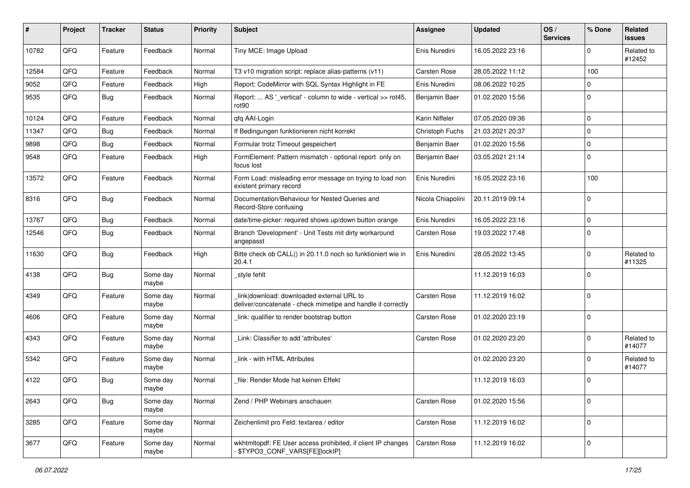| #     | Project | <b>Tracker</b> | <b>Status</b>     | <b>Priority</b> | <b>Subject</b>                                                                                            | Assignee            | <b>Updated</b>   | OS/<br><b>Services</b> | % Done      | <b>Related</b><br><b>issues</b> |
|-------|---------|----------------|-------------------|-----------------|-----------------------------------------------------------------------------------------------------------|---------------------|------------------|------------------------|-------------|---------------------------------|
| 10782 | QFQ     | Feature        | Feedback          | Normal          | Tiny MCE: Image Upload                                                                                    | Enis Nuredini       | 16.05.2022 23:16 |                        | $\Omega$    | Related to<br>#12452            |
| 12584 | QFQ     | Feature        | Feedback          | Normal          | T3 v10 migration script: replace alias-patterns (v11)                                                     | <b>Carsten Rose</b> | 28.05.2022 11:12 |                        | 100         |                                 |
| 9052  | QFQ     | Feature        | Feedback          | High            | Report: CodeMirror with SQL Syntax Highlight in FE                                                        | Enis Nuredini       | 08.06.2022 10:25 |                        | $\Omega$    |                                 |
| 9535  | QFQ     | Bug            | Feedback          | Normal          | Report:  AS '_vertical' - column to wide - vertical >> rot45,<br>rot90                                    | Benjamin Baer       | 01.02.2020 15:56 |                        | $\mathbf 0$ |                                 |
| 10124 | QFQ     | Feature        | Feedback          | Normal          | qfq AAI-Login                                                                                             | Karin Niffeler      | 07.05.2020 09:36 |                        | $\mathbf 0$ |                                 |
| 11347 | QFQ     | <b>Bug</b>     | Feedback          | Normal          | If Bedingungen funktionieren nicht korrekt                                                                | Christoph Fuchs     | 21.03.2021 20:37 |                        | $\mathbf 0$ |                                 |
| 9898  | QFQ     | <b>Bug</b>     | Feedback          | Normal          | Formular trotz Timeout gespeichert                                                                        | Benjamin Baer       | 01.02.2020 15:56 |                        | $\mathbf 0$ |                                 |
| 9548  | QFQ     | Feature        | Feedback          | High            | FormElement: Pattern mismatch - optional report only on<br>focus lost                                     | Benjamin Baer       | 03.05.2021 21:14 |                        | $\mathbf 0$ |                                 |
| 13572 | QFQ     | Feature        | Feedback          | Normal          | Form Load: misleading error message on trying to load non<br>existent primary record                      | Enis Nuredini       | 16.05.2022 23:16 |                        | 100         |                                 |
| 8316  | QFQ     | Bug            | Feedback          | Normal          | Documentation/Behaviour for Nested Queries and<br>Record-Store confusing                                  | Nicola Chiapolini   | 20.11.2019 09:14 |                        | $\mathbf 0$ |                                 |
| 13767 | QFQ     | Bug            | Feedback          | Normal          | date/time-picker: required shows up/down button orange                                                    | Enis Nuredini       | 16.05.2022 23:16 |                        | $\mathbf 0$ |                                 |
| 12546 | QFQ     | Bug            | Feedback          | Normal          | Branch 'Development' - Unit Tests mit dirty workaround<br>angepasst                                       | <b>Carsten Rose</b> | 19.03.2022 17:48 |                        | $\Omega$    |                                 |
| 11630 | QFQ     | <b>Bug</b>     | Feedback          | High            | Bitte check ob CALL() in 20.11.0 noch so funktioniert wie in<br>20.4.1                                    | Enis Nuredini       | 28.05.2022 13:45 |                        | $\Omega$    | Related to<br>#11325            |
| 4138  | QFQ     | <b>Bug</b>     | Some day<br>maybe | Normal          | style fehlt                                                                                               |                     | 11.12.2019 16:03 |                        | $\mathbf 0$ |                                 |
| 4349  | QFQ     | Feature        | Some day<br>maybe | Normal          | link download: downloaded external URL to<br>deliver/concatenate - check mimetipe and handle it correctly | <b>Carsten Rose</b> | 11.12.2019 16:02 |                        | $\mathbf 0$ |                                 |
| 4606  | QFQ     | Feature        | Some day<br>maybe | Normal          | link: qualifier to render bootstrap button                                                                | Carsten Rose        | 01.02.2020 23:19 |                        | $\mathbf 0$ |                                 |
| 4343  | QFQ     | Feature        | Some day<br>maybe | Normal          | Link: Classifier to add 'attributes'                                                                      | Carsten Rose        | 01.02.2020 23:20 |                        | $\mathbf 0$ | Related to<br>#14077            |
| 5342  | QFQ     | Feature        | Some day<br>maybe | Normal          | link - with HTML Attributes                                                                               |                     | 01.02.2020 23:20 |                        | $\Omega$    | Related to<br>#14077            |
| 4122  | QFQ     | <b>Bug</b>     | Some day<br>maybe | Normal          | file: Render Mode hat keinen Effekt                                                                       |                     | 11.12.2019 16:03 |                        | $\mathbf 0$ |                                 |
| 2643  | QFQ     | <b>Bug</b>     | Some day<br>maybe | Normal          | Zend / PHP Webinars anschauen                                                                             | Carsten Rose        | 01.02.2020 15:56 |                        | $\mathbf 0$ |                                 |
| 3285  | QFQ     | Feature        | Some day<br>maybe | Normal          | Zeichenlimit pro Feld: textarea / editor                                                                  | Carsten Rose        | 11.12.2019 16:02 |                        | $\mathbf 0$ |                                 |
| 3677  | QFQ     | Feature        | Some day<br>maybe | Normal          | wkhtmltopdf: FE User access prohibited, if client IP changes<br>\$TYPO3 CONF VARS[FE][lockIP]             | Carsten Rose        | 11.12.2019 16:02 |                        | 0           |                                 |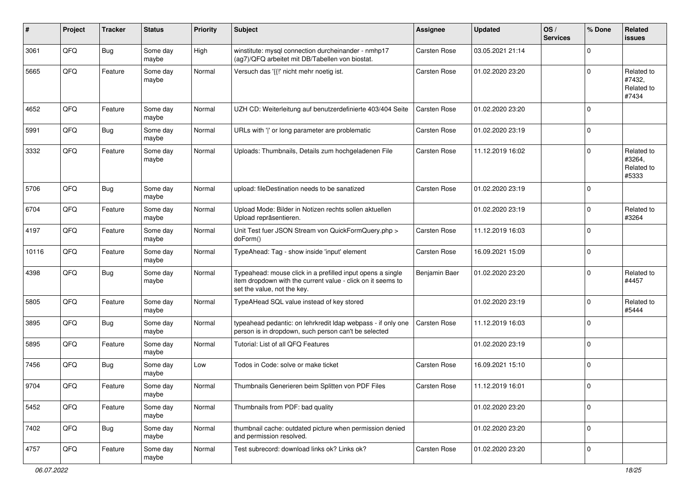| #     | Project | <b>Tracker</b> | <b>Status</b>     | <b>Priority</b> | <b>Subject</b>                                                                                                                                           | <b>Assignee</b>     | <b>Updated</b>   | OS/<br><b>Services</b> | % Done      | Related<br><b>issues</b>                    |
|-------|---------|----------------|-------------------|-----------------|----------------------------------------------------------------------------------------------------------------------------------------------------------|---------------------|------------------|------------------------|-------------|---------------------------------------------|
| 3061  | QFQ     | <b>Bug</b>     | Some day<br>maybe | High            | winstitute: mysql connection durcheinander - nmhp17<br>(ag7)/QFQ arbeitet mit DB/Tabellen von biostat.                                                   | <b>Carsten Rose</b> | 03.05.2021 21:14 |                        | $\mathbf 0$ |                                             |
| 5665  | QFQ     | Feature        | Some day<br>maybe | Normal          | Versuch das '{{!' nicht mehr noetig ist.                                                                                                                 | <b>Carsten Rose</b> | 01.02.2020 23:20 |                        | $\mathbf 0$ | Related to<br>#7432,<br>Related to<br>#7434 |
| 4652  | QFQ     | Feature        | Some day<br>maybe | Normal          | UZH CD: Weiterleitung auf benutzerdefinierte 403/404 Seite                                                                                               | <b>Carsten Rose</b> | 01.02.2020 23:20 |                        | $\mathbf 0$ |                                             |
| 5991  | QFQ     | <b>Bug</b>     | Some day<br>maybe | Normal          | URLs with ' ' or long parameter are problematic                                                                                                          | <b>Carsten Rose</b> | 01.02.2020 23:19 |                        | $\mathbf 0$ |                                             |
| 3332  | QFQ     | Feature        | Some day<br>maybe | Normal          | Uploads: Thumbnails, Details zum hochgeladenen File                                                                                                      | <b>Carsten Rose</b> | 11.12.2019 16:02 |                        | $\mathbf 0$ | Related to<br>#3264,<br>Related to<br>#5333 |
| 5706  | QFQ     | <b>Bug</b>     | Some day<br>maybe | Normal          | upload: fileDestination needs to be sanatized                                                                                                            | <b>Carsten Rose</b> | 01.02.2020 23:19 |                        | $\mathbf 0$ |                                             |
| 6704  | QFQ     | Feature        | Some day<br>maybe | Normal          | Upload Mode: Bilder in Notizen rechts sollen aktuellen<br>Upload repräsentieren.                                                                         |                     | 01.02.2020 23:19 |                        | $\mathbf 0$ | Related to<br>#3264                         |
| 4197  | QFQ     | Feature        | Some day<br>maybe | Normal          | Unit Test fuer JSON Stream von QuickFormQuery.php ><br>doForm()                                                                                          | <b>Carsten Rose</b> | 11.12.2019 16:03 |                        | $\mathbf 0$ |                                             |
| 10116 | QFQ     | Feature        | Some day<br>maybe | Normal          | TypeAhead: Tag - show inside 'input' element                                                                                                             | <b>Carsten Rose</b> | 16.09.2021 15:09 |                        | $\mathbf 0$ |                                             |
| 4398  | QFQ     | <b>Bug</b>     | Some day<br>maybe | Normal          | Typeahead: mouse click in a prefilled input opens a single<br>item dropdown with the current value - click on it seems to<br>set the value, not the key. | Benjamin Baer       | 01.02.2020 23:20 |                        | $\mathbf 0$ | Related to<br>#4457                         |
| 5805  | QFQ     | Feature        | Some day<br>maybe | Normal          | TypeAHead SQL value instead of key stored                                                                                                                |                     | 01.02.2020 23:19 |                        | $\mathbf 0$ | Related to<br>#5444                         |
| 3895  | QFQ     | Bug            | Some day<br>maybe | Normal          | typeahead pedantic: on lehrkredit Idap webpass - if only one<br>person is in dropdown, such person can't be selected                                     | <b>Carsten Rose</b> | 11.12.2019 16:03 |                        | $\mathbf 0$ |                                             |
| 5895  | QFQ     | Feature        | Some day<br>maybe | Normal          | Tutorial: List of all QFQ Features                                                                                                                       |                     | 01.02.2020 23:19 |                        | $\mathbf 0$ |                                             |
| 7456  | QFQ     | Bug            | Some day<br>maybe | Low             | Todos in Code: solve or make ticket                                                                                                                      | <b>Carsten Rose</b> | 16.09.2021 15:10 |                        | $\mathbf 0$ |                                             |
| 9704  | QFQ     | Feature        | Some day<br>maybe | Normal          | Thumbnails Generieren beim Splitten von PDF Files                                                                                                        | <b>Carsten Rose</b> | 11.12.2019 16:01 |                        | $\mathbf 0$ |                                             |
| 5452  | QFO     | Feature        | Some day<br>maybe | Normal          | Thumbnails from PDF: bad quality                                                                                                                         |                     | 01.02.2020 23:20 |                        | $\mathbf 0$ |                                             |
| 7402  | QFQ     | <b>Bug</b>     | Some day<br>maybe | Normal          | thumbnail cache: outdated picture when permission denied<br>and permission resolved.                                                                     |                     | 01.02.2020 23:20 |                        | $\mathbf 0$ |                                             |
| 4757  | QFO     | Feature        | Some day<br>maybe | Normal          | Test subrecord: download links ok? Links ok?                                                                                                             | Carsten Rose        | 01.02.2020 23:20 |                        | $\pmb{0}$   |                                             |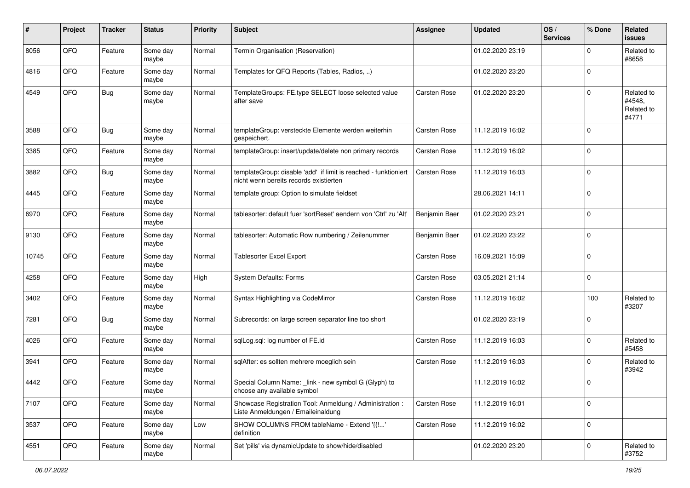| $\pmb{\#}$ | Project | <b>Tracker</b> | <b>Status</b>     | <b>Priority</b> | <b>Subject</b>                                                                                            | <b>Assignee</b>     | <b>Updated</b>   | OS/<br><b>Services</b> | % Done      | Related<br><b>issues</b>                    |
|------------|---------|----------------|-------------------|-----------------|-----------------------------------------------------------------------------------------------------------|---------------------|------------------|------------------------|-------------|---------------------------------------------|
| 8056       | QFQ     | Feature        | Some day<br>maybe | Normal          | Termin Organisation (Reservation)                                                                         |                     | 01.02.2020 23:19 |                        | $\mathbf 0$ | Related to<br>#8658                         |
| 4816       | QFQ     | Feature        | Some day<br>maybe | Normal          | Templates for QFQ Reports (Tables, Radios, )                                                              |                     | 01.02.2020 23:20 |                        | $\mathbf 0$ |                                             |
| 4549       | QFQ     | Bug            | Some day<br>maybe | Normal          | TemplateGroups: FE.type SELECT loose selected value<br>after save                                         | Carsten Rose        | 01.02.2020 23:20 |                        | $\mathbf 0$ | Related to<br>#4548,<br>Related to<br>#4771 |
| 3588       | QFQ     | Bug            | Some day<br>maybe | Normal          | templateGroup: versteckte Elemente werden weiterhin<br>gespeichert.                                       | <b>Carsten Rose</b> | 11.12.2019 16:02 |                        | $\mathbf 0$ |                                             |
| 3385       | QFQ     | Feature        | Some day<br>maybe | Normal          | templateGroup: insert/update/delete non primary records                                                   | Carsten Rose        | 11.12.2019 16:02 |                        | $\mathbf 0$ |                                             |
| 3882       | QFQ     | <b>Bug</b>     | Some day<br>maybe | Normal          | templateGroup: disable 'add' if limit is reached - funktioniert<br>nicht wenn bereits records existierten | Carsten Rose        | 11.12.2019 16:03 |                        | $\mathbf 0$ |                                             |
| 4445       | QFQ     | Feature        | Some day<br>maybe | Normal          | template group: Option to simulate fieldset                                                               |                     | 28.06.2021 14:11 |                        | $\mathbf 0$ |                                             |
| 6970       | QFQ     | Feature        | Some day<br>maybe | Normal          | tablesorter: default fuer 'sortReset' aendern von 'Ctrl' zu 'Alt'                                         | Benjamin Baer       | 01.02.2020 23:21 |                        | $\mathbf 0$ |                                             |
| 9130       | QFQ     | Feature        | Some day<br>maybe | Normal          | tablesorter: Automatic Row numbering / Zeilenummer                                                        | Benjamin Baer       | 01.02.2020 23:22 |                        | $\mathbf 0$ |                                             |
| 10745      | QFQ     | Feature        | Some day<br>maybe | Normal          | Tablesorter Excel Export                                                                                  | Carsten Rose        | 16.09.2021 15:09 |                        | $\mathbf 0$ |                                             |
| 4258       | QFQ     | Feature        | Some day<br>maybe | High            | System Defaults: Forms                                                                                    | <b>Carsten Rose</b> | 03.05.2021 21:14 |                        | $\mathbf 0$ |                                             |
| 3402       | QFQ     | Feature        | Some day<br>maybe | Normal          | Syntax Highlighting via CodeMirror                                                                        | <b>Carsten Rose</b> | 11.12.2019 16:02 |                        | 100         | Related to<br>#3207                         |
| 7281       | QFQ     | <b>Bug</b>     | Some day<br>maybe | Normal          | Subrecords: on large screen separator line too short                                                      |                     | 01.02.2020 23:19 |                        | $\mathbf 0$ |                                             |
| 4026       | QFQ     | Feature        | Some day<br>maybe | Normal          | sqlLog.sql: log number of FE.id                                                                           | <b>Carsten Rose</b> | 11.12.2019 16:03 |                        | $\mathbf 0$ | Related to<br>#5458                         |
| 3941       | QFQ     | Feature        | Some day<br>maybe | Normal          | sqlAfter: es sollten mehrere moeglich sein                                                                | <b>Carsten Rose</b> | 11.12.2019 16:03 |                        | $\mathbf 0$ | Related to<br>#3942                         |
| 4442       | QFQ     | Feature        | Some day<br>maybe | Normal          | Special Column Name: _link - new symbol G (Glyph) to<br>choose any available symbol                       |                     | 11.12.2019 16:02 |                        | $\mathbf 0$ |                                             |
| 7107       | QFQ     | Feature        | Some day<br>maybe | Normal          | Showcase Registration Tool: Anmeldung / Administration :<br>Liste Anmeldungen / Emaileinaldung            | Carsten Rose        | 11.12.2019 16:01 |                        | $\mathbf 0$ |                                             |
| 3537       | QFO     | Feature        | Some day<br>maybe | Low             | SHOW COLUMNS FROM tableName - Extend '{{!'<br>definition                                                  | Carsten Rose        | 11.12.2019 16:02 |                        | $\mathbf 0$ |                                             |
| 4551       | QFO     | Feature        | Some day<br>maybe | Normal          | Set 'pills' via dynamicUpdate to show/hide/disabled                                                       |                     | 01.02.2020 23:20 |                        | $\pmb{0}$   | Related to<br>#3752                         |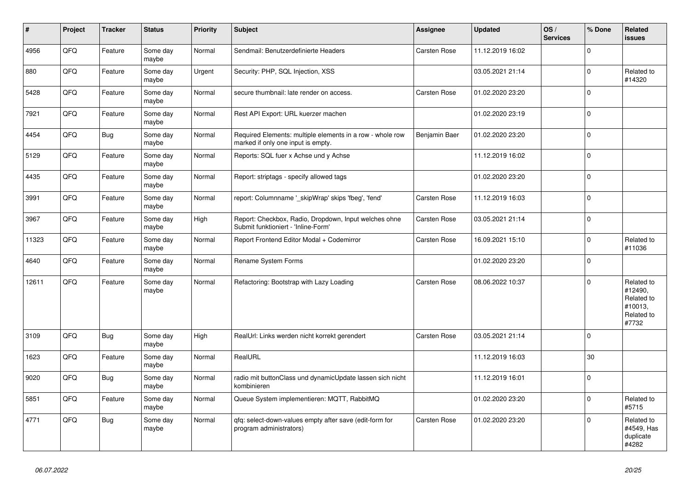| #     | Project | <b>Tracker</b> | <b>Status</b>     | <b>Priority</b> | <b>Subject</b>                                                                                  | Assignee            | <b>Updated</b>   | OS/<br><b>Services</b> | % Done      | <b>Related</b><br><b>issues</b>                                       |
|-------|---------|----------------|-------------------|-----------------|-------------------------------------------------------------------------------------------------|---------------------|------------------|------------------------|-------------|-----------------------------------------------------------------------|
| 4956  | QFQ     | Feature        | Some day<br>maybe | Normal          | Sendmail: Benutzerdefinierte Headers                                                            | Carsten Rose        | 11.12.2019 16:02 |                        | $\Omega$    |                                                                       |
| 880   | QFQ     | Feature        | Some day<br>maybe | Urgent          | Security: PHP, SQL Injection, XSS                                                               |                     | 03.05.2021 21:14 |                        | $\mathbf 0$ | Related to<br>#14320                                                  |
| 5428  | QFQ     | Feature        | Some day<br>maybe | Normal          | secure thumbnail: late render on access.                                                        | Carsten Rose        | 01.02.2020 23:20 |                        | $\mathbf 0$ |                                                                       |
| 7921  | QFQ     | Feature        | Some day<br>maybe | Normal          | Rest API Export: URL kuerzer machen                                                             |                     | 01.02.2020 23:19 |                        | $\mathbf 0$ |                                                                       |
| 4454  | QFQ     | Bug            | Some day<br>maybe | Normal          | Required Elements: multiple elements in a row - whole row<br>marked if only one input is empty. | Benjamin Baer       | 01.02.2020 23:20 |                        | $\mathbf 0$ |                                                                       |
| 5129  | QFQ     | Feature        | Some day<br>maybe | Normal          | Reports: SQL fuer x Achse und y Achse                                                           |                     | 11.12.2019 16:02 |                        | $\Omega$    |                                                                       |
| 4435  | QFQ     | Feature        | Some day<br>maybe | Normal          | Report: striptags - specify allowed tags                                                        |                     | 01.02.2020 23:20 |                        | $\Omega$    |                                                                       |
| 3991  | QFQ     | Feature        | Some day<br>maybe | Normal          | report: Columnname '_skipWrap' skips 'fbeg', 'fend'                                             | Carsten Rose        | 11.12.2019 16:03 |                        | $\mathbf 0$ |                                                                       |
| 3967  | QFQ     | Feature        | Some day<br>maybe | High            | Report: Checkbox, Radio, Dropdown, Input welches ohne<br>Submit funktioniert - 'Inline-Form'    | Carsten Rose        | 03.05.2021 21:14 |                        | $\mathbf 0$ |                                                                       |
| 11323 | QFQ     | Feature        | Some day<br>maybe | Normal          | Report Frontend Editor Modal + Codemirror                                                       | Carsten Rose        | 16.09.2021 15:10 |                        | $\mathbf 0$ | Related to<br>#11036                                                  |
| 4640  | QFQ     | Feature        | Some day<br>maybe | Normal          | Rename System Forms                                                                             |                     | 01.02.2020 23:20 |                        | $\mathbf 0$ |                                                                       |
| 12611 | QFQ     | Feature        | Some day<br>maybe | Normal          | Refactoring: Bootstrap with Lazy Loading                                                        | Carsten Rose        | 08.06.2022 10:37 |                        | $\mathbf 0$ | Related to<br>#12490,<br>Related to<br>#10013,<br>Related to<br>#7732 |
| 3109  | QFQ     | Bug            | Some day<br>maybe | High            | RealUrl: Links werden nicht korrekt gerendert                                                   | <b>Carsten Rose</b> | 03.05.2021 21:14 |                        | $\Omega$    |                                                                       |
| 1623  | QFQ     | Feature        | Some day<br>maybe | Normal          | RealURL                                                                                         |                     | 11.12.2019 16:03 |                        | 30          |                                                                       |
| 9020  | QFQ     | <b>Bug</b>     | Some day<br>maybe | Normal          | radio mit buttonClass und dynamicUpdate lassen sich nicht<br>kombinieren                        |                     | 11.12.2019 16:01 |                        | $\Omega$    |                                                                       |
| 5851  | QFQ     | Feature        | Some day<br>maybe | Normal          | Queue System implementieren: MQTT, RabbitMQ                                                     |                     | 01.02.2020 23:20 |                        | $\mathbf 0$ | Related to<br>#5715                                                   |
| 4771  | QFQ     | <b>Bug</b>     | Some day<br>maybe | Normal          | gfg: select-down-values empty after save (edit-form for<br>program administrators)              | Carsten Rose        | 01.02.2020 23:20 |                        | $\mathbf 0$ | Related to<br>#4549, Has<br>duplicate<br>#4282                        |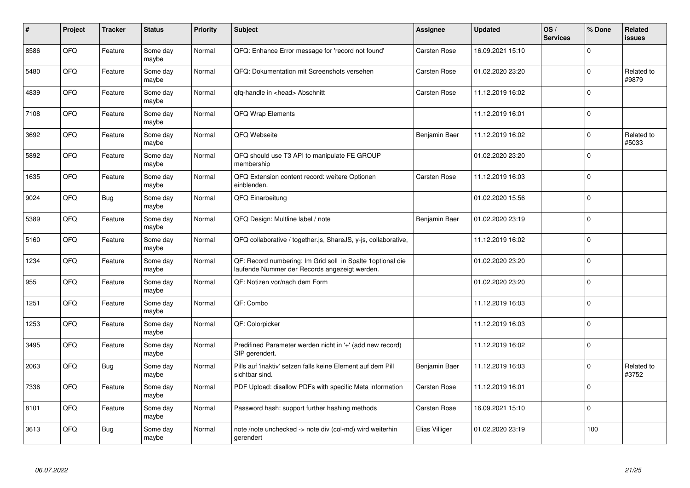| $\vert$ # | Project | <b>Tracker</b> | <b>Status</b>     | <b>Priority</b> | <b>Subject</b>                                                                                               | Assignee            | <b>Updated</b>   | OS/<br><b>Services</b> | % Done      | <b>Related</b><br><b>issues</b> |
|-----------|---------|----------------|-------------------|-----------------|--------------------------------------------------------------------------------------------------------------|---------------------|------------------|------------------------|-------------|---------------------------------|
| 8586      | QFQ     | Feature        | Some day<br>maybe | Normal          | QFQ: Enhance Error message for 'record not found'                                                            | Carsten Rose        | 16.09.2021 15:10 |                        | $\Omega$    |                                 |
| 5480      | QFQ     | Feature        | Some day<br>maybe | Normal          | QFQ: Dokumentation mit Screenshots versehen                                                                  | <b>Carsten Rose</b> | 01.02.2020 23:20 |                        | $\Omega$    | Related to<br>#9879             |
| 4839      | QFQ     | Feature        | Some day<br>maybe | Normal          | qfq-handle in <head> Abschnitt</head>                                                                        | Carsten Rose        | 11.12.2019 16:02 |                        | $\mathbf 0$ |                                 |
| 7108      | QFQ     | Feature        | Some day<br>maybe | Normal          | <b>QFQ Wrap Elements</b>                                                                                     |                     | 11.12.2019 16:01 |                        | $\Omega$    |                                 |
| 3692      | QFQ     | Feature        | Some day<br>maybe | Normal          | QFQ Webseite                                                                                                 | Benjamin Baer       | 11.12.2019 16:02 |                        | $\mathbf 0$ | Related to<br>#5033             |
| 5892      | QFQ     | Feature        | Some day<br>maybe | Normal          | QFQ should use T3 API to manipulate FE GROUP<br>membership                                                   |                     | 01.02.2020 23:20 |                        | $\mathbf 0$ |                                 |
| 1635      | QFQ     | Feature        | Some day<br>maybe | Normal          | QFQ Extension content record: weitere Optionen<br>einblenden.                                                | Carsten Rose        | 11.12.2019 16:03 |                        | $\mathbf 0$ |                                 |
| 9024      | QFQ     | <b>Bug</b>     | Some day<br>maybe | Normal          | QFQ Einarbeitung                                                                                             |                     | 01.02.2020 15:56 |                        | $\Omega$    |                                 |
| 5389      | QFQ     | Feature        | Some day<br>maybe | Normal          | QFQ Design: Multline label / note                                                                            | Benjamin Baer       | 01.02.2020 23:19 |                        | $\mathbf 0$ |                                 |
| 5160      | QFQ     | Feature        | Some day<br>maybe | Normal          | QFQ collaborative / together.js, ShareJS, y-js, collaborative,                                               |                     | 11.12.2019 16:02 |                        | $\mathbf 0$ |                                 |
| 1234      | QFQ     | Feature        | Some day<br>maybe | Normal          | QF: Record numbering: Im Grid soll in Spalte 1 optional die<br>laufende Nummer der Records angezeigt werden. |                     | 01.02.2020 23:20 |                        | $\mathbf 0$ |                                 |
| 955       | QFQ     | Feature        | Some day<br>maybe | Normal          | QF: Notizen vor/nach dem Form                                                                                |                     | 01.02.2020 23:20 |                        | $\mathbf 0$ |                                 |
| 1251      | QFQ     | Feature        | Some day<br>maybe | Normal          | QF: Combo                                                                                                    |                     | 11.12.2019 16:03 |                        | $\mathbf 0$ |                                 |
| 1253      | QFQ     | Feature        | Some day<br>maybe | Normal          | QF: Colorpicker                                                                                              |                     | 11.12.2019 16:03 |                        | $\mathbf 0$ |                                 |
| 3495      | QFQ     | Feature        | Some day<br>maybe | Normal          | Predifined Parameter werden nicht in '+' (add new record)<br>SIP gerendert.                                  |                     | 11.12.2019 16:02 |                        | $\Omega$    |                                 |
| 2063      | QFQ     | <b>Bug</b>     | Some day<br>maybe | Normal          | Pills auf 'inaktiv' setzen falls keine Element auf dem Pill<br>sichtbar sind.                                | Benjamin Baer       | 11.12.2019 16:03 |                        | $\Omega$    | Related to<br>#3752             |
| 7336      | QFQ     | Feature        | Some day<br>maybe | Normal          | PDF Upload: disallow PDFs with specific Meta information                                                     | Carsten Rose        | 11.12.2019 16:01 |                        | $\mathbf 0$ |                                 |
| 8101      | QFQ     | Feature        | Some day<br>maybe | Normal          | Password hash: support further hashing methods                                                               | Carsten Rose        | 16.09.2021 15:10 |                        | $\mathbf 0$ |                                 |
| 3613      | QFQ     | <b>Bug</b>     | Some day<br>maybe | Normal          | note /note unchecked -> note div (col-md) wird weiterhin<br>gerendert                                        | Elias Villiger      | 01.02.2020 23:19 |                        | 100         |                                 |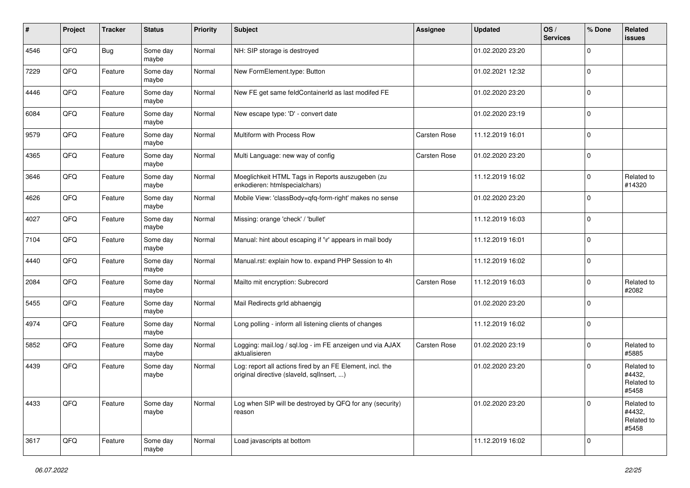| ∦    | Project | <b>Tracker</b> | <b>Status</b>     | <b>Priority</b> | <b>Subject</b>                                                                                         | <b>Assignee</b> | <b>Updated</b>   | OS/<br><b>Services</b> | % Done      | Related<br>issues                           |
|------|---------|----------------|-------------------|-----------------|--------------------------------------------------------------------------------------------------------|-----------------|------------------|------------------------|-------------|---------------------------------------------|
| 4546 | QFQ     | <b>Bug</b>     | Some day<br>maybe | Normal          | NH: SIP storage is destroyed                                                                           |                 | 01.02.2020 23:20 |                        | $\Omega$    |                                             |
| 7229 | QFQ     | Feature        | Some day<br>maybe | Normal          | New FormElement.type: Button                                                                           |                 | 01.02.2021 12:32 |                        | $\Omega$    |                                             |
| 4446 | QFQ     | Feature        | Some day<br>maybe | Normal          | New FE get same feldContainerId as last modifed FE                                                     |                 | 01.02.2020 23:20 |                        | $\Omega$    |                                             |
| 6084 | QFQ     | Feature        | Some day<br>maybe | Normal          | New escape type: 'D' - convert date                                                                    |                 | 01.02.2020 23:19 |                        | $\mathbf 0$ |                                             |
| 9579 | QFQ     | Feature        | Some day<br>maybe | Normal          | Multiform with Process Row                                                                             | Carsten Rose    | 11.12.2019 16:01 |                        | $\Omega$    |                                             |
| 4365 | QFQ     | Feature        | Some day<br>maybe | Normal          | Multi Language: new way of config                                                                      | Carsten Rose    | 01.02.2020 23:20 |                        | $\Omega$    |                                             |
| 3646 | QFQ     | Feature        | Some day<br>maybe | Normal          | Moeglichkeit HTML Tags in Reports auszugeben (zu<br>enkodieren: htmlspecialchars)                      |                 | 11.12.2019 16:02 |                        | $\Omega$    | Related to<br>#14320                        |
| 4626 | QFQ     | Feature        | Some day<br>maybe | Normal          | Mobile View: 'classBody=qfq-form-right' makes no sense                                                 |                 | 01.02.2020 23:20 |                        | $\Omega$    |                                             |
| 4027 | QFQ     | Feature        | Some day<br>maybe | Normal          | Missing: orange 'check' / 'bullet'                                                                     |                 | 11.12.2019 16:03 |                        | $\mathbf 0$ |                                             |
| 7104 | QFQ     | Feature        | Some day<br>maybe | Normal          | Manual: hint about escaping if '\r' appears in mail body                                               |                 | 11.12.2019 16:01 |                        | $\Omega$    |                                             |
| 4440 | QFQ     | Feature        | Some day<br>maybe | Normal          | Manual.rst: explain how to. expand PHP Session to 4h                                                   |                 | 11.12.2019 16:02 |                        | $\mathbf 0$ |                                             |
| 2084 | QFQ     | Feature        | Some day<br>maybe | Normal          | Mailto mit encryption: Subrecord                                                                       | Carsten Rose    | 11.12.2019 16:03 |                        | $\mathbf 0$ | Related to<br>#2082                         |
| 5455 | QFQ     | Feature        | Some day<br>maybe | Normal          | Mail Redirects grld abhaengig                                                                          |                 | 01.02.2020 23:20 |                        | $\Omega$    |                                             |
| 4974 | QFQ     | Feature        | Some day<br>maybe | Normal          | Long polling - inform all listening clients of changes                                                 |                 | 11.12.2019 16:02 |                        | $\Omega$    |                                             |
| 5852 | QFQ     | Feature        | Some day<br>maybe | Normal          | Logging: mail.log / sql.log - im FE anzeigen und via AJAX<br>aktualisieren                             | Carsten Rose    | 01.02.2020 23:19 |                        | $\Omega$    | Related to<br>#5885                         |
| 4439 | QFQ     | Feature        | Some day<br>maybe | Normal          | Log: report all actions fired by an FE Element, incl. the<br>original directive (slaveld, sqllnsert, ) |                 | 01.02.2020 23:20 |                        | $\mathbf 0$ | Related to<br>#4432,<br>Related to<br>#5458 |
| 4433 | QFO     | Feature        | Some day<br>maybe | Normal          | Log when SIP will be destroyed by QFQ for any (security)<br>reason                                     |                 | 01.02.2020 23:20 |                        | $\Omega$    | Related to<br>#4432,<br>Related to<br>#5458 |
| 3617 | QFO     | Feature        | Some day<br>maybe | Normal          | Load javascripts at bottom                                                                             |                 | 11.12.2019 16:02 |                        | $\mathbf 0$ |                                             |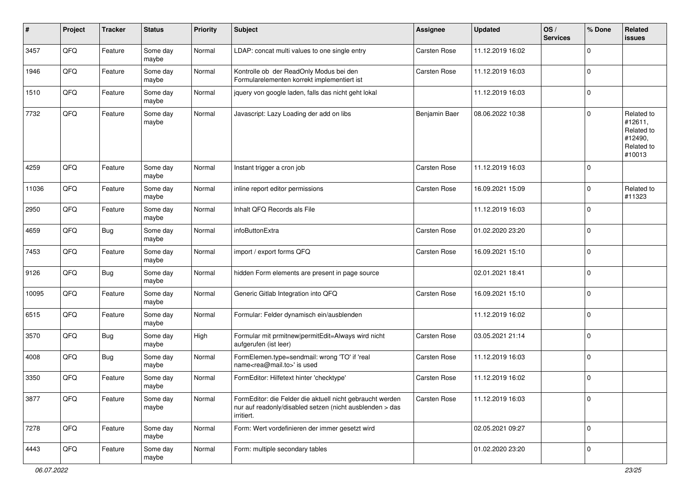| $\vert$ # | Project | <b>Tracker</b> | <b>Status</b>     | <b>Priority</b> | <b>Subject</b>                                                                                                                      | <b>Assignee</b> | <b>Updated</b>   | OS/<br><b>Services</b> | % Done      | Related<br><b>issues</b>                                               |
|-----------|---------|----------------|-------------------|-----------------|-------------------------------------------------------------------------------------------------------------------------------------|-----------------|------------------|------------------------|-------------|------------------------------------------------------------------------|
| 3457      | QFQ     | Feature        | Some day<br>maybe | Normal          | LDAP: concat multi values to one single entry                                                                                       | Carsten Rose    | 11.12.2019 16:02 |                        | 0           |                                                                        |
| 1946      | QFQ     | Feature        | Some day<br>maybe | Normal          | Kontrolle ob der ReadOnly Modus bei den<br>Formularelementen korrekt implementiert ist                                              | Carsten Rose    | 11.12.2019 16:03 |                        | $\mathbf 0$ |                                                                        |
| 1510      | QFQ     | Feature        | Some day<br>maybe | Normal          | jquery von google laden, falls das nicht geht lokal                                                                                 |                 | 11.12.2019 16:03 |                        | 0           |                                                                        |
| 7732      | QFQ     | Feature        | Some day<br>maybe | Normal          | Javascript: Lazy Loading der add on libs                                                                                            | Benjamin Baer   | 08.06.2022 10:38 |                        | 0           | Related to<br>#12611,<br>Related to<br>#12490,<br>Related to<br>#10013 |
| 4259      | QFQ     | Feature        | Some day<br>maybe | Normal          | Instant trigger a cron job                                                                                                          | Carsten Rose    | 11.12.2019 16:03 |                        | $\mathbf 0$ |                                                                        |
| 11036     | QFQ     | Feature        | Some day<br>maybe | Normal          | inline report editor permissions                                                                                                    | Carsten Rose    | 16.09.2021 15:09 |                        | $\mathbf 0$ | Related to<br>#11323                                                   |
| 2950      | QFQ     | Feature        | Some day<br>maybe | Normal          | Inhalt QFQ Records als File                                                                                                         |                 | 11.12.2019 16:03 |                        | 0           |                                                                        |
| 4659      | QFQ     | <b>Bug</b>     | Some day<br>maybe | Normal          | infoButtonExtra                                                                                                                     | Carsten Rose    | 01.02.2020 23:20 |                        | $\mathbf 0$ |                                                                        |
| 7453      | QFQ     | Feature        | Some day<br>maybe | Normal          | import / export forms QFQ                                                                                                           | Carsten Rose    | 16.09.2021 15:10 |                        | 0           |                                                                        |
| 9126      | QFQ     | Bug            | Some day<br>maybe | Normal          | hidden Form elements are present in page source                                                                                     |                 | 02.01.2021 18:41 |                        | $\mathbf 0$ |                                                                        |
| 10095     | QFQ     | Feature        | Some day<br>maybe | Normal          | Generic Gitlab Integration into QFQ                                                                                                 | Carsten Rose    | 16.09.2021 15:10 |                        | 0           |                                                                        |
| 6515      | QFQ     | Feature        | Some day<br>maybe | Normal          | Formular: Felder dynamisch ein/ausblenden                                                                                           |                 | 11.12.2019 16:02 |                        | $\pmb{0}$   |                                                                        |
| 3570      | QFQ     | <b>Bug</b>     | Some day<br>maybe | High            | Formular mit prmitnew permitEdit=Always wird nicht<br>aufgerufen (ist leer)                                                         | Carsten Rose    | 03.05.2021 21:14 |                        | $\mathbf 0$ |                                                                        |
| 4008      | QFQ     | <b>Bug</b>     | Some day<br>maybe | Normal          | FormElemen.type=sendmail: wrong 'TO' if 'real<br>name <rea@mail.to>' is used</rea@mail.to>                                          | Carsten Rose    | 11.12.2019 16:03 |                        | $\mathbf 0$ |                                                                        |
| 3350      | QFQ     | Feature        | Some day<br>maybe | Normal          | FormEditor: Hilfetext hinter 'checktype'                                                                                            | Carsten Rose    | 11.12.2019 16:02 |                        | $\mathbf 0$ |                                                                        |
| 3877      | QFQ     | Feature        | Some day<br>maybe | Normal          | FormEditor: die Felder die aktuell nicht gebraucht werden<br>nur auf readonly/disabled setzen (nicht ausblenden > das<br>irritiert. | Carsten Rose    | 11.12.2019 16:03 |                        | $\pmb{0}$   |                                                                        |
| 7278      | QFG     | Feature        | Some day<br>maybe | Normal          | Form: Wert vordefinieren der immer gesetzt wird                                                                                     |                 | 02.05.2021 09:27 |                        | $\mathbf 0$ |                                                                        |
| 4443      | QFO     | Feature        | Some day<br>maybe | Normal          | Form: multiple secondary tables                                                                                                     |                 | 01.02.2020 23:20 |                        | $\pmb{0}$   |                                                                        |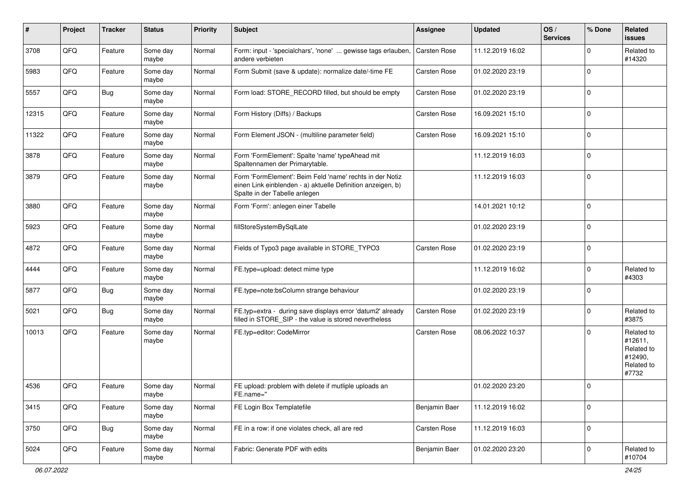| #     | Project | <b>Tracker</b> | <b>Status</b>     | <b>Priority</b> | <b>Subject</b>                                                                                                                                           | <b>Assignee</b>     | <b>Updated</b>   | OS/<br><b>Services</b> | % Done      | <b>Related</b><br><b>issues</b>                                       |
|-------|---------|----------------|-------------------|-----------------|----------------------------------------------------------------------------------------------------------------------------------------------------------|---------------------|------------------|------------------------|-------------|-----------------------------------------------------------------------|
| 3708  | QFQ     | Feature        | Some day<br>maybe | Normal          | Form: input - 'specialchars', 'none'  gewisse tags erlauben,<br>andere verbieten                                                                         | Carsten Rose        | 11.12.2019 16:02 |                        | $\Omega$    | Related to<br>#14320                                                  |
| 5983  | QFQ     | Feature        | Some day<br>maybe | Normal          | Form Submit (save & update): normalize date/-time FE                                                                                                     | <b>Carsten Rose</b> | 01.02.2020 23:19 |                        | $\mathbf 0$ |                                                                       |
| 5557  | QFQ     | <b>Bug</b>     | Some day<br>maybe | Normal          | Form load: STORE_RECORD filled, but should be empty                                                                                                      | <b>Carsten Rose</b> | 01.02.2020 23:19 |                        | $\mathbf 0$ |                                                                       |
| 12315 | QFQ     | Feature        | Some day<br>maybe | Normal          | Form History (Diffs) / Backups                                                                                                                           | Carsten Rose        | 16.09.2021 15:10 |                        | $\mathbf 0$ |                                                                       |
| 11322 | QFQ     | Feature        | Some day<br>maybe | Normal          | Form Element JSON - (multiline parameter field)                                                                                                          | Carsten Rose        | 16.09.2021 15:10 |                        | $\mathbf 0$ |                                                                       |
| 3878  | QFQ     | Feature        | Some day<br>maybe | Normal          | Form 'FormElement': Spalte 'name' typeAhead mit<br>Spaltennamen der Primarytable.                                                                        |                     | 11.12.2019 16:03 |                        | $\mathbf 0$ |                                                                       |
| 3879  | QFQ     | Feature        | Some day<br>maybe | Normal          | Form 'FormElement': Beim Feld 'name' rechts in der Notiz<br>einen Link einblenden - a) aktuelle Definition anzeigen, b)<br>Spalte in der Tabelle anlegen |                     | 11.12.2019 16:03 |                        | $\mathbf 0$ |                                                                       |
| 3880  | QFQ     | Feature        | Some day<br>maybe | Normal          | Form 'Form': anlegen einer Tabelle                                                                                                                       |                     | 14.01.2021 10:12 |                        | $\mathbf 0$ |                                                                       |
| 5923  | QFQ     | Feature        | Some day<br>maybe | Normal          | fillStoreSystemBySqlLate                                                                                                                                 |                     | 01.02.2020 23:19 |                        | $\mathbf 0$ |                                                                       |
| 4872  | QFQ     | Feature        | Some day<br>maybe | Normal          | Fields of Typo3 page available in STORE_TYPO3                                                                                                            | Carsten Rose        | 01.02.2020 23:19 |                        | $\mathbf 0$ |                                                                       |
| 4444  | QFQ     | Feature        | Some day<br>maybe | Normal          | FE.type=upload: detect mime type                                                                                                                         |                     | 11.12.2019 16:02 |                        | $\mathbf 0$ | Related to<br>#4303                                                   |
| 5877  | QFQ     | <b>Bug</b>     | Some day<br>maybe | Normal          | FE.type=note:bsColumn strange behaviour                                                                                                                  |                     | 01.02.2020 23:19 |                        | $\mathbf 0$ |                                                                       |
| 5021  | QFQ     | <b>Bug</b>     | Some day<br>maybe | Normal          | FE.typ=extra - during save displays error 'datum2' already<br>filled in STORE_SIP - the value is stored nevertheless                                     | <b>Carsten Rose</b> | 01.02.2020 23:19 |                        | $\mathbf 0$ | Related to<br>#3875                                                   |
| 10013 | QFQ     | Feature        | Some day<br>maybe | Normal          | FE.typ=editor: CodeMirror                                                                                                                                | Carsten Rose        | 08.06.2022 10:37 |                        | $\mathbf 0$ | Related to<br>#12611,<br>Related to<br>#12490,<br>Related to<br>#7732 |
| 4536  | QFQ     | Feature        | Some day<br>maybe | Normal          | FE upload: problem with delete if mutliple uploads an<br>FE.name="                                                                                       |                     | 01.02.2020 23:20 |                        | $\mathbf 0$ |                                                                       |
| 3415  | QFQ     | Feature        | Some day<br>maybe | Normal          | FE Login Box Templatefile                                                                                                                                | Benjamin Baer       | 11.12.2019 16:02 |                        | $\mathbf 0$ |                                                                       |
| 3750  | QFG     | <b>Bug</b>     | Some day<br>maybe | Normal          | FE in a row: if one violates check, all are red                                                                                                          | Carsten Rose        | 11.12.2019 16:03 |                        | $\mathbf 0$ |                                                                       |
| 5024  | QFG     | Feature        | Some day<br>maybe | Normal          | Fabric: Generate PDF with edits                                                                                                                          | Benjamin Baer       | 01.02.2020 23:20 |                        | $\mathbf 0$ | Related to<br>#10704                                                  |